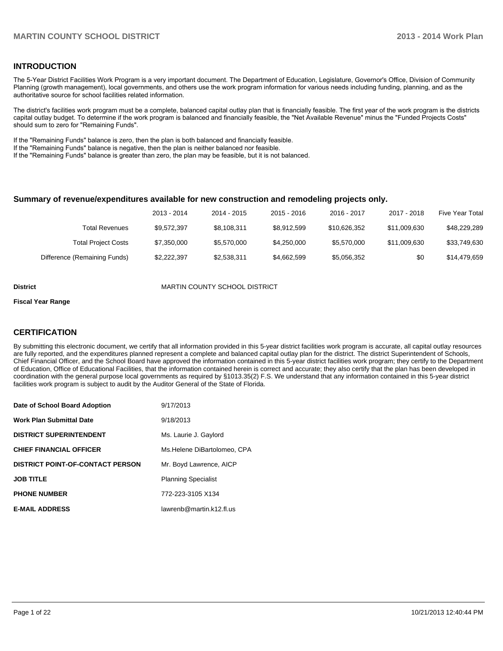#### **INTRODUCTION**

The 5-Year District Facilities Work Program is a very important document. The Department of Education, Legislature, Governor's Office, Division of Community Planning (growth management), local governments, and others use the work program information for various needs including funding, planning, and as the authoritative source for school facilities related information.

The district's facilities work program must be a complete, balanced capital outlay plan that is financially feasible. The first year of the work program is the districts capital outlay budget. To determine if the work program is balanced and financially feasible, the "Net Available Revenue" minus the "Funded Projects Costs" should sum to zero for "Remaining Funds".

If the "Remaining Funds" balance is zero, then the plan is both balanced and financially feasible.

If the "Remaining Funds" balance is negative, then the plan is neither balanced nor feasible.

If the "Remaining Funds" balance is greater than zero, the plan may be feasible, but it is not balanced.

#### **Summary of revenue/expenditures available for new construction and remodeling projects only.**

|                              | 2013 - 2014 | 2014 - 2015 | 2015 - 2016 | $2016 - 2017$ | 2017 - 2018  | Five Year Total |
|------------------------------|-------------|-------------|-------------|---------------|--------------|-----------------|
| <b>Total Revenues</b>        | \$9.572.397 | \$8.108.311 | \$8.912.599 | \$10.626.352  | \$11.009.630 | \$48,229,289    |
| <b>Total Project Costs</b>   | \$7,350,000 | \$5,570,000 | \$4.250,000 | \$5,570,000   | \$11,009,630 | \$33,749,630    |
| Difference (Remaining Funds) | \$2,222,397 | \$2,538,311 | \$4,662,599 | \$5,056,352   | \$0          | \$14,479,659    |

**District District MARTIN COUNTY SCHOOL DISTRICT** 

#### **Fiscal Year Range**

#### **CERTIFICATION**

By submitting this electronic document, we certify that all information provided in this 5-year district facilities work program is accurate, all capital outlay resources are fully reported, and the expenditures planned represent a complete and balanced capital outlay plan for the district. The district Superintendent of Schools, Chief Financial Officer, and the School Board have approved the information contained in this 5-year district facilities work program; they certify to the Department of Education, Office of Educational Facilities, that the information contained herein is correct and accurate; they also certify that the plan has been developed in coordination with the general purpose local governments as required by §1013.35(2) F.S. We understand that any information contained in this 5-year district facilities work program is subject to audit by the Auditor General of the State of Florida.

| Date of School Board Adoption           | 9/17/2013                   |
|-----------------------------------------|-----------------------------|
| <b>Work Plan Submittal Date</b>         | 9/18/2013                   |
| <b>DISTRICT SUPERINTENDENT</b>          | Ms. Laurie J. Gaylord       |
| <b>CHIEF FINANCIAL OFFICER</b>          | Ms.Helene DiBartolomeo, CPA |
| <b>DISTRICT POINT-OF-CONTACT PERSON</b> | Mr. Boyd Lawrence, AICP     |
| <b>JOB TITLE</b>                        | <b>Planning Specialist</b>  |
| <b>PHONE NUMBER</b>                     | 772-223-3105 X134           |
| <b>E-MAIL ADDRESS</b>                   | lawrenb@martin.k12.fl.us    |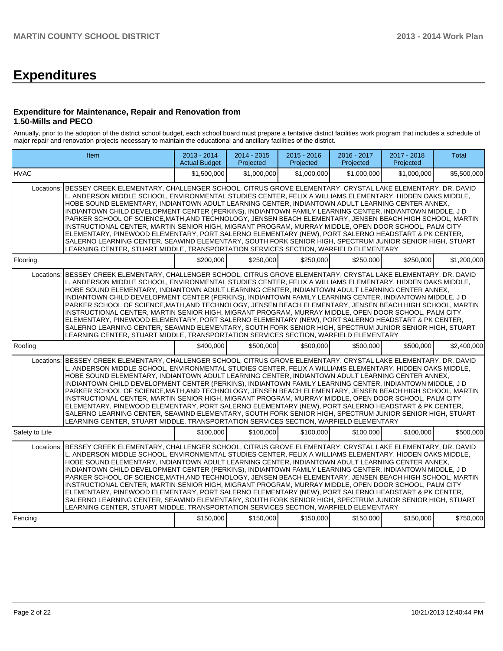# **Expenditures**

#### **Expenditure for Maintenance, Repair and Renovation from 1.50-Mills and PECO**

Annually, prior to the adoption of the district school budget, each school board must prepare a tentative district facilities work program that includes a schedule of major repair and renovation projects necessary to maintain the educational and ancillary facilities of the district.

|                | Item                                                                                                                                                                                                                                                                                                                                                                                                                                                                                                                                                                                                                                                                                                                                                                                                                                                                                                                                                                             | 2013 - 2014<br><b>Actual Budget</b> | 2014 - 2015<br>Projected | $2015 - 2016$<br>Projected | 2016 - 2017<br>Projected | 2017 - 2018<br>Projected | <b>Total</b> |
|----------------|----------------------------------------------------------------------------------------------------------------------------------------------------------------------------------------------------------------------------------------------------------------------------------------------------------------------------------------------------------------------------------------------------------------------------------------------------------------------------------------------------------------------------------------------------------------------------------------------------------------------------------------------------------------------------------------------------------------------------------------------------------------------------------------------------------------------------------------------------------------------------------------------------------------------------------------------------------------------------------|-------------------------------------|--------------------------|----------------------------|--------------------------|--------------------------|--------------|
| <b>HVAC</b>    |                                                                                                                                                                                                                                                                                                                                                                                                                                                                                                                                                                                                                                                                                                                                                                                                                                                                                                                                                                                  | \$1,500,000                         | \$1,000,000              | \$1,000,000                | \$1,000,000              | \$1,000,000              | \$5,500,000  |
| Locations:     | BESSEY CREEK ELEMENTARY. CHALLENGER SCHOOL. CITRUS GROVE ELEMENTARY. CRYSTAL LAKE ELEMENTARY. DR. DAVID<br>L. ANDERSON MIDDLE SCHOOL, ENVIRONMENTAL STUDIES CENTER, FELIX A WILLIAMS ELEMENTARY, HIDDEN OAKS MIDDLE,<br>HOBE SOUND ELEMENTARY, INDIANTOWN ADULT LEARNING CENTER, INDIANTOWN ADULT LEARNING CENTER ANNEX,<br>INDIANTOWN CHILD DEVELOPMENT CENTER (PERKINS), INDIANTOWN FAMILY LEARNING CENTER, INDIANTOWN MIDDLE, J D<br>PARKER SCHOOL OF SCIENCE, MATH, AND TECHNOLOGY, JENSEN BEACH ELEMENTARY, JENSEN BEACH HIGH SCHOOL, MARTIN<br>INSTRUCTIONAL CENTER, MARTIN SENIOR HIGH, MIGRANT PROGRAM, MURRAY MIDDLE, OPEN DOOR SCHOOL, PALM CITY<br>ELEMENTARY, PINEWOOD ELEMENTARY, PORT SALERNO ELEMENTARY (NEW), PORT SALERNO HEADSTART & PK CENTER,<br>SALERNO LEARNING CENTER, SEAWIND ELEMENTARY, SOUTH FORK SENIOR HIGH, SPECTRUM JUNIOR SENIOR HIGH, STUART<br>LEARNING CENTER, STUART MIDDLE, TRANSPORTATION SERVICES SECTION, WARFIELD ELEMENTARY            |                                     |                          |                            |                          |                          |              |
| Flooring       |                                                                                                                                                                                                                                                                                                                                                                                                                                                                                                                                                                                                                                                                                                                                                                                                                                                                                                                                                                                  | \$200,000                           | \$250,000                | \$250,000                  | \$250,000                | \$250,000                | \$1,200,000  |
| Locations:     | BESSEY CREEK ELEMENTARY, CHALLENGER SCHOOL, CITRUS GROVE ELEMENTARY, CRYSTAL LAKE ELEMENTARY, DR. DAVID<br>L. ANDERSON MIDDLE SCHOOL, ENVIRONMENTAL STUDIES CENTER, FELIX A WILLIAMS ELEMENTARY, HIDDEN OAKS MIDDLE,<br>HOBE SOUND ELEMENTARY, INDIANTOWN ADULT LEARNING CENTER, INDIANTOWN ADULT LEARNING CENTER ANNEX,<br>INDIANTOWN CHILD DEVELOPMENT CENTER (PERKINS), INDIANTOWN FAMILY LEARNING CENTER, INDIANTOWN MIDDLE, J D<br>PARKER SCHOOL OF SCIENCE, MATH, AND TECHNOLOGY, JENSEN BEACH ELEMENTARY, JENSEN BEACH HIGH SCHOOL, MARTIN<br>INSTRUCTIONAL CENTER, MARTIN SENIOR HIGH, MIGRANT PROGRAM, MURRAY MIDDLE, OPEN DOOR SCHOOL, PALM CITY<br>ELEMENTARY, PINEWOOD ELEMENTARY, PORT SALERNO ELEMENTARY (NEW), PORT SALERNO HEADSTART & PK CENTER,<br>SALERNO LEARNING CENTER, SEAWIND ELEMENTARY, SOUTH FORK SENIOR HIGH, SPECTRUM JUNIOR SENIOR HIGH, STUART<br>LEARNING CENTER, STUART MIDDLE, TRANSPORTATION SERVICES SECTION, WARFIELD ELEMENTARY            |                                     |                          |                            |                          |                          |              |
| Roofing        |                                                                                                                                                                                                                                                                                                                                                                                                                                                                                                                                                                                                                                                                                                                                                                                                                                                                                                                                                                                  | \$400,000                           | \$500,000                | \$500,000                  | \$500,000                | \$500,000                | \$2,400,000  |
|                | Locations: BESSEY CREEK ELEMENTARY, CHALLENGER SCHOOL, CITRUS GROVE ELEMENTARY, CRYSTAL LAKE ELEMENTARY, DR. DAVID<br>L. ANDERSON MIDDLE SCHOOL, ENVIRONMENTAL STUDIES CENTER, FELIX A WILLIAMS ELEMENTARY, HIDDEN OAKS MIDDLE,<br>HOBE SOUND ELEMENTARY, INDIANTOWN ADULT LEARNING CENTER, INDIANTOWN ADULT LEARNING CENTER ANNEX,<br>INDIANTOWN CHILD DEVELOPMENT CENTER (PERKINS), INDIANTOWN FAMILY LEARNING CENTER, INDIANTOWN MIDDLE, J D<br>PARKER SCHOOL OF SCIENCE, MATH, AND TECHNOLOGY, JENSEN BEACH ELEMENTARY, JENSEN BEACH HIGH SCHOOL, MARTIN<br>INSTRUCTIONAL CENTER, MARTIN SENIOR HIGH, MIGRANT PROGRAM, MURRAY MIDDLE, OPEN DOOR SCHOOL, PALM CITY<br>ELEMENTARY, PINEWOOD ELEMENTARY, PORT SALERNO ELEMENTARY (NEW), PORT SALERNO HEADSTART & PK CENTER,<br>SALERNO LEARNING CENTER, SEAWIND ELEMENTARY, SOUTH FORK SENIOR HIGH, SPECTRUM JUNIOR SENIOR HIGH, STUART<br>LEARNING CENTER, STUART MIDDLE, TRANSPORTATION SERVICES SECTION, WARFIELD ELEMENTARY |                                     |                          |                            |                          |                          |              |
| Safety to Life |                                                                                                                                                                                                                                                                                                                                                                                                                                                                                                                                                                                                                                                                                                                                                                                                                                                                                                                                                                                  | \$100,000                           | \$100,000                | \$100,000                  | \$100,000                | \$100,000                | \$500,000    |
| Locations:     | BESSEY CREEK ELEMENTARY, CHALLENGER SCHOOL, CITRUS GROVE ELEMENTARY, CRYSTAL LAKE ELEMENTARY, DR. DAVID<br>L. ANDERSON MIDDLE SCHOOL, ENVIRONMENTAL STUDIES CENTER, FELIX A WILLIAMS ELEMENTARY, HIDDEN OAKS MIDDLE,<br>HOBE SOUND ELEMENTARY, INDIANTOWN ADULT LEARNING CENTER, INDIANTOWN ADULT LEARNING CENTER ANNEX,<br>INDIANTOWN CHILD DEVELOPMENT CENTER (PERKINS), INDIANTOWN FAMILY LEARNING CENTER, INDIANTOWN MIDDLE, J D<br>PARKER SCHOOL OF SCIENCE, MATH, AND TECHNOLOGY, JENSEN BEACH ELEMENTARY, JENSEN BEACH HIGH SCHOOL, MARTIN<br>INSTRUCTIONAL CENTER, MARTIN SENIOR HIGH, MIGRANT PROGRAM, MURRAY MIDDLE, OPEN DOOR SCHOOL, PALM CITY<br>ELEMENTARY, PINEWOOD ELEMENTARY, PORT SALERNO ELEMENTARY (NEW), PORT SALERNO HEADSTART & PK CENTER,<br>SALERNO LEARNING CENTER, SEAWIND ELEMENTARY, SOUTH FORK SENIOR HIGH, SPECTRUM JUNIOR SENIOR HIGH, STUART<br>LEARNING CENTER, STUART MIDDLE, TRANSPORTATION SERVICES SECTION, WARFIELD ELEMENTARY            |                                     |                          |                            |                          |                          |              |
| Fencing        |                                                                                                                                                                                                                                                                                                                                                                                                                                                                                                                                                                                                                                                                                                                                                                                                                                                                                                                                                                                  | \$150,000                           | \$150,000                | \$150,000                  | \$150,000                | \$150,000                | \$750,000    |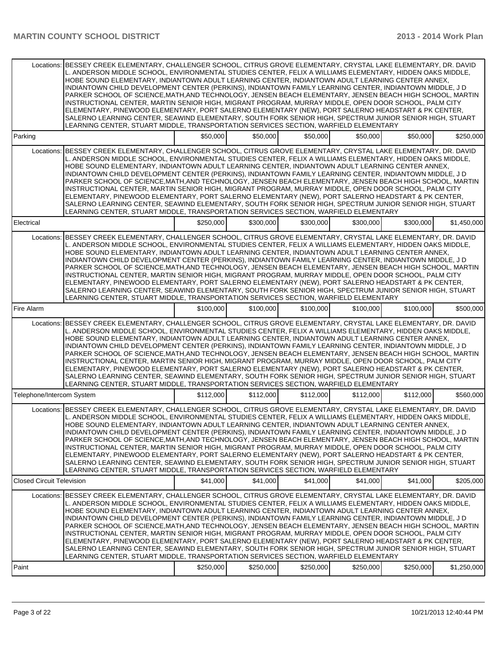|                                  | Locations: BESSEY CREEK ELEMENTARY, CHALLENGER SCHOOL, CITRUS GROVE ELEMENTARY, CRYSTAL LAKE ELEMENTARY, DR. DAVID<br>L. ANDERSON MIDDLE SCHOOL, ENVIRONMENTAL STUDIES CENTER, FELIX A WILLIAMS ELEMENTARY, HIDDEN OAKS MIDDLE,<br>HOBE SOUND ELEMENTARY, INDIANTOWN ADULT LEARNING CENTER, INDIANTOWN ADULT LEARNING CENTER ANNEX,<br>INDIANTOWN CHILD DEVELOPMENT CENTER (PERKINS), INDIANTOWN FAMILY LEARNING CENTER, INDIANTOWN MIDDLE, J D<br>PARKER SCHOOL OF SCIENCE, MATH, AND TECHNOLOGY, JENSEN BEACH ELEMENTARY, JENSEN BEACH HIGH SCHOOL, MARTIN<br>INSTRUCTIONAL CENTER, MARTIN SENIOR HIGH, MIGRANT PROGRAM, MURRAY MIDDLE, OPEN DOOR SCHOOL, PALM CITY<br>ELEMENTARY, PINEWOOD ELEMENTARY, PORT SALERNO ELEMENTARY (NEW), PORT SALERNO HEADSTART & PK CENTER,<br>SALERNO LEARNING CENTER, SEAWIND ELEMENTARY, SOUTH FORK SENIOR HIGH, SPECTRUM JUNIOR SENIOR HIGH, STUART<br>LEARNING CENTER, STUART MIDDLE, TRANSPORTATION SERVICES SECTION, WARFIELD ELEMENTARY |           |           |           |           |           |             |
|----------------------------------|----------------------------------------------------------------------------------------------------------------------------------------------------------------------------------------------------------------------------------------------------------------------------------------------------------------------------------------------------------------------------------------------------------------------------------------------------------------------------------------------------------------------------------------------------------------------------------------------------------------------------------------------------------------------------------------------------------------------------------------------------------------------------------------------------------------------------------------------------------------------------------------------------------------------------------------------------------------------------------|-----------|-----------|-----------|-----------|-----------|-------------|
| Parking                          |                                                                                                                                                                                                                                                                                                                                                                                                                                                                                                                                                                                                                                                                                                                                                                                                                                                                                                                                                                                  | \$50,000  | \$50,000  | \$50,000  | \$50,000  | \$50,000  | \$250,000   |
|                                  | Locations: BESSEY CREEK ELEMENTARY, CHALLENGER SCHOOL, CITRUS GROVE ELEMENTARY, CRYSTAL LAKE ELEMENTARY, DR. DAVID<br>L. ANDERSON MIDDLE SCHOOL. ENVIRONMENTAL STUDIES CENTER. FELIX A WILLIAMS ELEMENTARY. HIDDEN OAKS MIDDLE.<br>HOBE SOUND ELEMENTARY, INDIANTOWN ADULT LEARNING CENTER, INDIANTOWN ADULT LEARNING CENTER ANNEX,<br>INDIANTOWN CHILD DEVELOPMENT CENTER (PERKINS), INDIANTOWN FAMILY LEARNING CENTER, INDIANTOWN MIDDLE, J D<br>PARKER SCHOOL OF SCIENCE, MATH, AND TECHNOLOGY, JENSEN BEACH ELEMENTARY, JENSEN BEACH HIGH SCHOOL, MARTIN<br>INSTRUCTIONAL CENTER, MARTIN SENIOR HIGH, MIGRANT PROGRAM, MURRAY MIDDLE, OPEN DOOR SCHOOL, PALM CITY<br>ELEMENTARY, PINEWOOD ELEMENTARY, PORT SALERNO ELEMENTARY (NEW), PORT SALERNO HEADSTART & PK CENTER,<br>SALERNO LEARNING CENTER, SEAWIND ELEMENTARY, SOUTH FORK SENIOR HIGH, SPECTRUM JUNIOR SENIOR HIGH, STUART<br>LEARNING CENTER, STUART MIDDLE, TRANSPORTATION SERVICES SECTION, WARFIELD ELEMENTARY |           |           |           |           |           |             |
| Electrical                       |                                                                                                                                                                                                                                                                                                                                                                                                                                                                                                                                                                                                                                                                                                                                                                                                                                                                                                                                                                                  | \$250,000 | \$300,000 | \$300,000 | \$300,000 | \$300,000 | \$1,450,000 |
| Locations:                       | BESSEY CREEK ELEMENTARY, CHALLENGER SCHOOL, CITRUS GROVE ELEMENTARY, CRYSTAL LAKE ELEMENTARY, DR. DAVID<br>L. ANDERSON MIDDLE SCHOOL, ENVIRONMENTAL STUDIES CENTER, FELIX A WILLIAMS ELEMENTARY, HIDDEN OAKS MIDDLE,<br>HOBE SOUND ELEMENTARY, INDIANTOWN ADULT LEARNING CENTER, INDIANTOWN ADULT LEARNING CENTER ANNEX,<br>INDIANTOWN CHILD DEVELOPMENT CENTER (PERKINS), INDIANTOWN FAMILY LEARNING CENTER, INDIANTOWN MIDDLE, J D<br>PARKER SCHOOL OF SCIENCE, MATH, AND TECHNOLOGY, JENSEN BEACH ELEMENTARY, JENSEN BEACH HIGH SCHOOL, MARTIN<br>INSTRUCTIONAL CENTER, MARTIN SENIOR HIGH, MIGRANT PROGRAM, MURRAY MIDDLE, OPEN DOOR SCHOOL, PALM CITY<br>ELEMENTARY, PINEWOOD ELEMENTARY, PORT SALERNO ELEMENTARY (NEW), PORT SALERNO HEADSTART & PK CENTER,<br>SALERNO LEARNING CENTER, SEAWIND ELEMENTARY, SOUTH FORK SENIOR HIGH, SPECTRUM JUNIOR SENIOR HIGH, STUART<br>LEARNING CENTER, STUART MIDDLE, TRANSPORTATION SERVICES SECTION, WARFIELD ELEMENTARY            |           |           |           |           |           |             |
| Fire Alarm                       |                                                                                                                                                                                                                                                                                                                                                                                                                                                                                                                                                                                                                                                                                                                                                                                                                                                                                                                                                                                  | \$100,000 | \$100,000 | \$100,000 | \$100,000 | \$100,000 | \$500,000   |
|                                  | Locations: BESSEY CREEK ELEMENTARY, CHALLENGER SCHOOL, CITRUS GROVE ELEMENTARY, CRYSTAL LAKE ELEMENTARY, DR. DAVID<br>L. ANDERSON MIDDLE SCHOOL, ENVIRONMENTAL STUDIES CENTER, FELIX A WILLIAMS ELEMENTARY, HIDDEN OAKS MIDDLE,<br>HOBE SOUND ELEMENTARY, INDIANTOWN ADULT LEARNING CENTER, INDIANTOWN ADULT LEARNING CENTER ANNEX,<br>INDIANTOWN CHILD DEVELOPMENT CENTER (PERKINS), INDIANTOWN FAMILY LEARNING CENTER, INDIANTOWN MIDDLE, J D<br>PARKER SCHOOL OF SCIENCE, MATH, AND TECHNOLOGY, JENSEN BEACH ELEMENTARY, JENSEN BEACH HIGH SCHOOL, MARTIN<br>INSTRUCTIONAL CENTER, MARTIN SENIOR HIGH, MIGRANT PROGRAM, MURRAY MIDDLE, OPEN DOOR SCHOOL, PALM CITY<br>ELEMENTARY, PINEWOOD ELEMENTARY, PORT SALERNO ELEMENTARY (NEW), PORT SALERNO HEADSTART & PK CENTER,<br>SALERNO LEARNING CENTER, SEAWIND ELEMENTARY, SOUTH FORK SENIOR HIGH, SPECTRUM JUNIOR SENIOR HIGH, STUART<br>LEARNING CENTER, STUART MIDDLE, TRANSPORTATION SERVICES SECTION, WARFIELD ELEMENTARY |           |           |           |           |           |             |
| Telephone/Intercom System        |                                                                                                                                                                                                                                                                                                                                                                                                                                                                                                                                                                                                                                                                                                                                                                                                                                                                                                                                                                                  | \$112,000 | \$112,000 | \$112,000 | \$112,000 | \$112,000 | \$560,000   |
|                                  | Locations: BESSEY CREEK ELEMENTARY, CHALLENGER SCHOOL, CITRUS GROVE ELEMENTARY, CRYSTAL LAKE ELEMENTARY, DR. DAVID<br>L. ANDERSON MIDDLE SCHOOL, ENVIRONMENTAL STUDIES CENTER, FELIX A WILLIAMS ELEMENTARY, HIDDEN OAKS MIDDLE,<br>HOBE SOUND ELEMENTARY, INDIANTOWN ADULT LEARNING CENTER, INDIANTOWN ADULT LEARNING CENTER ANNEX,<br>INDIANTOWN CHILD DEVELOPMENT CENTER (PERKINS), INDIANTOWN FAMILY LEARNING CENTER, INDIANTOWN MIDDLE, J D<br>PARKER SCHOOL OF SCIENCE, MATH, AND TECHNOLOGY, JENSEN BEACH ELEMENTARY, JENSEN BEACH HIGH SCHOOL, MARTIN<br>INSTRUCTIONAL CENTER, MARTIN SENIOR HIGH, MIGRANT PROGRAM, MURRAY MIDDLE, OPEN DOOR SCHOOL, PALM CITY<br>ELEMENTARY, PINEWOOD ELEMENTARY, PORT SALERNO ELEMENTARY (NEW), PORT SALERNO HEADSTART & PK CENTER,<br>SALERNO LEARNING CENTER, SEAWIND ELEMENTARY, SOUTH FORK SENIOR HIGH, SPECTRUM JUNIOR SENIOR HIGH, STUART<br>LEARNING CENTER, STUART MIDDLE, TRANSPORTATION SERVICES SECTION, WARFIELD ELEMENTARY |           |           |           |           |           |             |
| <b>Closed Circuit Television</b> |                                                                                                                                                                                                                                                                                                                                                                                                                                                                                                                                                                                                                                                                                                                                                                                                                                                                                                                                                                                  | \$41.000  | \$41,000  | \$41.000  | \$41,000  | \$41,000  | \$205,000   |
|                                  | Locations: BESSEY CREEK ELEMENTARY, CHALLENGER SCHOOL, CITRUS GROVE ELEMENTARY, CRYSTAL LAKE ELEMENTARY, DR, DAVID<br>L. ANDERSON MIDDLE SCHOOL, ENVIRONMENTAL STUDIES CENTER, FELIX A WILLIAMS ELEMENTARY, HIDDEN OAKS MIDDLE,<br>HOBE SOUND ELEMENTARY, INDIANTOWN ADULT LEARNING CENTER, INDIANTOWN ADULT LEARNING CENTER ANNEX,<br>INDIANTOWN CHILD DEVELOPMENT CENTER (PERKINS), INDIANTOWN FAMILY LEARNING CENTER, INDIANTOWN MIDDLE, J D<br>PARKER SCHOOL OF SCIENCE, MATH, AND TECHNOLOGY, JENSEN BEACH ELEMENTARY, JENSEN BEACH HIGH SCHOOL, MARTIN<br>INSTRUCTIONAL CENTER, MARTIN SENIOR HIGH, MIGRANT PROGRAM, MURRAY MIDDLE, OPEN DOOR SCHOOL, PALM CITY<br>ELEMENTARY, PINEWOOD ELEMENTARY, PORT SALERNO ELEMENTARY (NEW), PORT SALERNO HEADSTART & PK CENTER,<br>SALERNO LEARNING CENTER, SEAWIND ELEMENTARY, SOUTH FORK SENIOR HIGH, SPECTRUM JUNIOR SENIOR HIGH, STUART<br>LEARNING CENTER, STUART MIDDLE, TRANSPORTATION SERVICES SECTION, WARFIELD ELEMENTARY |           |           |           |           |           |             |
| Paint                            |                                                                                                                                                                                                                                                                                                                                                                                                                                                                                                                                                                                                                                                                                                                                                                                                                                                                                                                                                                                  | \$250,000 | \$250,000 | \$250,000 | \$250,000 | \$250,000 | \$1,250,000 |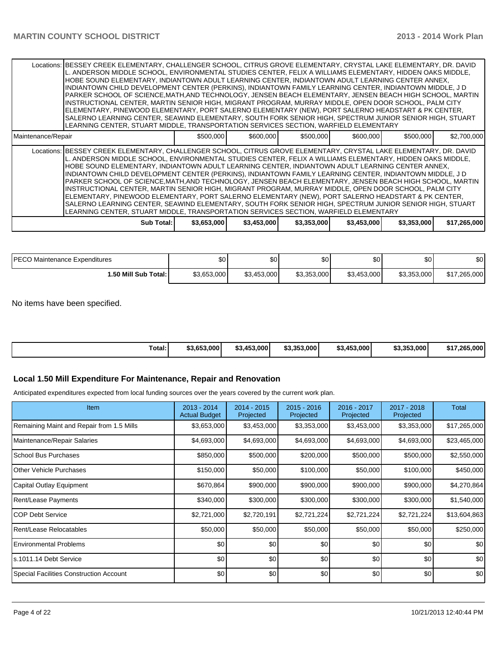|                    | Locations:  BESSEY CREEK ELEMENTARY, CHALLENGER SCHOOL, CITRUS GROVE ELEMENTARY, CRYSTAL LAKE ELEMENTARY, DR. DAVID<br>L. ANDERSON MIDDLE SCHOOL, ENVIRONMENTAL STUDIES CENTER, FELIX A WILLIAMS ELEMENTARY, HIDDEN OAKS MIDDLE,<br>HOBE SOUND ELEMENTARY, INDIANTOWN ADULT LEARNING CENTER, INDIANTOWN ADULT LEARNING CENTER ANNEX,<br>INDIANTOWN CHILD DEVELOPMENT CENTER (PERKINS), INDIANTOWN FAMILY LEARNING CENTER, INDIANTOWN MIDDLE, J D<br>PARKER SCHOOL OF SCIENCE, MATH, AND TECHNOLOGY, JENSEN BEACH ELEMENTARY, JENSEN BEACH HIGH SCHOOL, MARTIN<br>INSTRUCTIONAL CENTER, MARTIN SENIOR HIGH, MIGRANT PROGRAM, MURRAY MIDDLE, OPEN DOOR SCHOOL, PALM CITY<br>ELEMENTARY, PINEWOOD ELEMENTARY, PORT SALERNO ELEMENTARY (NEW), PORT SALERNO HEADSTART & PK CENTER,<br>SALERNO LEARNING CENTER, SEAWIND ELEMENTARY, SOUTH FORK SENIOR HIGH, SPECTRUM JUNIOR SENIOR HIGH, STUART<br>LEARNING CENTER, STUART MIDDLE, TRANSPORTATION SERVICES SECTION, WARFIELD ELEMENTARY |             |             |             |             |             |              |
|--------------------|-----------------------------------------------------------------------------------------------------------------------------------------------------------------------------------------------------------------------------------------------------------------------------------------------------------------------------------------------------------------------------------------------------------------------------------------------------------------------------------------------------------------------------------------------------------------------------------------------------------------------------------------------------------------------------------------------------------------------------------------------------------------------------------------------------------------------------------------------------------------------------------------------------------------------------------------------------------------------------------|-------------|-------------|-------------|-------------|-------------|--------------|
| Maintenance/Repair |                                                                                                                                                                                                                                                                                                                                                                                                                                                                                                                                                                                                                                                                                                                                                                                                                                                                                                                                                                                   | \$500,000   | \$600,000   | \$500,000   | \$600,000   | \$500,000   | \$2,700,000  |
|                    | Locations:  BESSEY CREEK ELEMENTARY, CHALLENGER SCHOOL, CITRUS GROVE ELEMENTARY, CRYSTAL LAKE ELEMENTARY, DR. DAVID<br>L. ANDERSON MIDDLE SCHOOL, ENVIRONMENTAL STUDIES CENTER, FELIX A WILLIAMS ELEMENTARY, HIDDEN OAKS MIDDLE,<br>HOBE SOUND ELEMENTARY, INDIANTOWN ADULT LEARNING CENTER, INDIANTOWN ADULT LEARNING CENTER ANNEX,<br>INDIANTOWN CHILD DEVELOPMENT CENTER (PERKINS), INDIANTOWN FAMILY LEARNING CENTER, INDIANTOWN MIDDLE, J D<br>PARKER SCHOOL OF SCIENCE, MATH, AND TECHNOLOGY, JENSEN BEACH ELEMENTARY, JENSEN BEACH HIGH SCHOOL, MARTIN<br>INSTRUCTIONAL CENTER, MARTIN SENIOR HIGH, MIGRANT PROGRAM, MURRAY MIDDLE, OPEN DOOR SCHOOL, PALM CITY<br>ELEMENTARY, PINEWOOD ELEMENTARY, PORT SALERNO ELEMENTARY (NEW), PORT SALERNO HEADSTART & PK CENTER,<br>SALERNO LEARNING CENTER, SEAWIND ELEMENTARY, SOUTH FORK SENIOR HIGH, SPECTRUM JUNIOR SENIOR HIGH, STUART<br>LEARNING CENTER, STUART MIDDLE, TRANSPORTATION SERVICES SECTION, WARFIELD ELEMENTARY |             |             |             |             |             |              |
|                    | Sub Total: I                                                                                                                                                                                                                                                                                                                                                                                                                                                                                                                                                                                                                                                                                                                                                                                                                                                                                                                                                                      | \$3,653,000 | \$3,453,000 | \$3,353,000 | \$3,453,000 | \$3,353,000 | \$17,265,000 |

| <b>IPECO</b><br>) Maintenance Expenditures | \$0         | \$0         | \$0         | \$0         | ሶስ<br>υU    | \$0          |
|--------------------------------------------|-------------|-------------|-------------|-------------|-------------|--------------|
| <b>1.50 Mill Sub Total: I</b>              | \$3,653,000 | \$3,453,000 | \$3,353,000 | \$3,453,000 | \$3,353,000 | \$17,265,000 |

No items have been specified.

| Total:<br>\$3.353.000<br>\$3.353.000<br>\$3,453,000<br>/265.000<br>\$3,453,000<br>\$3,653,000<br>\$17.2 |
|---------------------------------------------------------------------------------------------------------|
|---------------------------------------------------------------------------------------------------------|

# **Local 1.50 Mill Expenditure For Maintenance, Repair and Renovation**

Anticipated expenditures expected from local funding sources over the years covered by the current work plan.

| <b>Item</b>                               | $2013 - 2014$<br><b>Actual Budget</b> | 2014 - 2015<br>Projected | $2015 - 2016$<br>Projected | 2016 - 2017<br>Projected | 2017 - 2018<br>Projected | Total        |
|-------------------------------------------|---------------------------------------|--------------------------|----------------------------|--------------------------|--------------------------|--------------|
| Remaining Maint and Repair from 1.5 Mills | \$3,653,000                           | \$3,453,000              | \$3,353,000                | \$3,453,000              | \$3,353,000              | \$17,265,000 |
| Maintenance/Repair Salaries               | \$4,693,000                           | \$4,693,000              | \$4,693,000                | \$4,693,000              | \$4,693,000              | \$23,465,000 |
| <b>School Bus Purchases</b>               | \$850,000                             | \$500,000                | \$200,000                  | \$500,000                | \$500,000                | \$2,550,000  |
| <b>Other Vehicle Purchases</b>            | \$150,000                             | \$50,000                 | \$100,000                  | \$50,000                 | \$100,000                | \$450,000    |
| Capital Outlay Equipment                  | \$670,864                             | \$900,000                | \$900,000                  | \$900,000                | \$900,000                | \$4,270,864  |
| Rent/Lease Payments                       | \$340,000                             | \$300,000                | \$300,000                  | \$300,000                | \$300,000                | \$1,540,000  |
| <b>COP Debt Service</b>                   | \$2,721,000                           | \$2,720,191              | \$2,721,224                | \$2,721,224              | \$2,721,224              | \$13,604,863 |
| Rent/Lease Relocatables                   | \$50,000                              | \$50,000                 | \$50,000                   | \$50,000                 | \$50,000                 | \$250,000    |
| <b>Environmental Problems</b>             | \$0                                   | \$0                      | \$0                        | \$0                      | \$0                      | \$0          |
| s.1011.14 Debt Service                    | \$0                                   | \$0                      | \$0                        | \$0                      | \$0                      | \$0          |
| Special Facilities Construction Account   | \$0                                   | \$0                      | \$0                        | \$0                      | \$0                      | \$0          |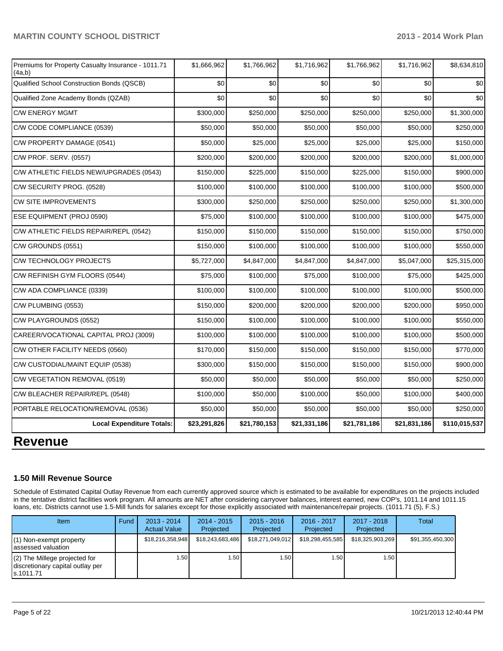| Premiums for Property Casualty Insurance - 1011.71<br>(4a,b) | \$1,666,962  | \$1,766,962  | \$1,716,962  | \$1,766,962  | \$1,716,962  | \$8,634,810   |
|--------------------------------------------------------------|--------------|--------------|--------------|--------------|--------------|---------------|
| Qualified School Construction Bonds (QSCB)                   | \$0          | \$0          | \$0          | \$0          | \$0          | \$0           |
| Qualified Zone Academy Bonds (QZAB)                          | \$0          | \$0          | \$0          | \$0          | \$0          | \$0           |
| <b>C/W ENERGY MGMT</b>                                       | \$300,000    | \$250,000    | \$250,000    | \$250,000    | \$250,000    | \$1,300,000   |
| C/W CODE COMPLIANCE (0539)                                   | \$50,000     | \$50,000     | \$50,000     | \$50,000     | \$50,000     | \$250,000     |
| C/W PROPERTY DAMAGE (0541)                                   | \$50,000     | \$25,000     | \$25,000     | \$25,000     | \$25,000     | \$150,000     |
| C/W PROF. SERV. (0557)                                       | \$200,000    | \$200,000    | \$200,000    | \$200,000    | \$200,000    | \$1,000,000   |
| C/W ATHLETIC FIELDS NEW/UPGRADES (0543)                      | \$150,000    | \$225,000    | \$150,000    | \$225,000    | \$150,000    | \$900,000     |
| C/W SECURITY PROG. (0528)                                    | \$100,000    | \$100,000    | \$100,000    | \$100,000    | \$100,000    | \$500,000     |
| <b>CW SITE IMPROVEMENTS</b>                                  | \$300,000    | \$250,000    | \$250,000    | \$250,000    | \$250,000    | \$1,300,000   |
| ESE EQUIPMENT (PROJ 0590)                                    | \$75,000     | \$100,000    | \$100,000    | \$100,000    | \$100,000    | \$475,000     |
| C/W ATHLETIC FIELDS REPAIR/REPL (0542)                       | \$150,000    | \$150,000    | \$150,000    | \$150,000    | \$150,000    | \$750,000     |
| C/W GROUNDS (0551)                                           | \$150,000    | \$100,000    | \$100,000    | \$100,000    | \$100,000    | \$550,000     |
| C/W TECHNOLOGY PROJECTS                                      | \$5,727,000  | \$4,847,000  | \$4,847,000  | \$4,847,000  | \$5,047,000  | \$25,315,000  |
| C/W REFINISH GYM FLOORS (0544)                               | \$75,000     | \$100,000    | \$75,000     | \$100,000    | \$75,000     | \$425,000     |
| C/W ADA COMPLIANCE (0339)                                    | \$100,000    | \$100,000    | \$100,000    | \$100,000    | \$100,000    | \$500,000     |
| C/W PLUMBING (0553)                                          | \$150,000    | \$200,000    | \$200,000    | \$200,000    | \$200,000    | \$950,000     |
| C/W PLAYGROUNDS (0552)                                       | \$150,000    | \$100,000    | \$100,000    | \$100,000    | \$100,000    | \$550,000     |
| CAREER/VOCATIONAL CAPITAL PROJ (3009)                        | \$100,000    | \$100,000    | \$100,000    | \$100,000    | \$100,000    | \$500,000     |
| C/W OTHER FACILITY NEEDS (0560)                              | \$170,000    | \$150,000    | \$150,000    | \$150,000    | \$150,000    | \$770,000     |
| C/W CUSTODIAL/MAINT EQUIP (0538)                             | \$300,000    | \$150,000    | \$150,000    | \$150,000    | \$150,000    | \$900,000     |
| C/W VEGETATION REMOVAL (0519)                                | \$50,000     | \$50,000     | \$50,000     | \$50,000     | \$50,000     | \$250,000     |
| C/W BLEACHER REPAIR/REPL (0548)                              | \$100,000    | \$50,000     | \$100,000    | \$50,000     | \$100,000    | \$400,000     |
| PORTABLE RELOCATION/REMOVAL (0536)                           | \$50,000     | \$50,000     | \$50,000     | \$50,000     | \$50,000     | \$250,000     |
| <b>Local Expenditure Totals:</b>                             | \$23,291,826 | \$21,780,153 | \$21,331,186 | \$21,781,186 | \$21,831,186 | \$110,015,537 |
|                                                              |              |              |              |              |              |               |

# **Revenue**

## **1.50 Mill Revenue Source**

Schedule of Estimated Capital Outlay Revenue from each currently approved source which is estimated to be available for expenditures on the projects included in the tentative district facilities work program. All amounts are NET after considering carryover balances, interest earned, new COP's, 1011.14 and 1011.15 loans, etc. Districts cannot use 1.5-Mill funds for salaries except for those explicitly associated with maintenance/repair projects. (1011.71 (5), F.S.)

| Item                                                                              | Fund | $2013 - 2014$<br><b>Actual Value</b> | $2014 - 2015$<br>Projected | $2015 - 2016$<br>Projected | 2016 - 2017<br>Projected | $2017 - 2018$<br>Projected | Total            |
|-----------------------------------------------------------------------------------|------|--------------------------------------|----------------------------|----------------------------|--------------------------|----------------------------|------------------|
| $(1)$ Non-exempt property<br>lassessed valuation                                  |      | \$18,216,358,948                     | \$18,243,683,486           | \$18,271,049,012           | \$18,298,455,585         | \$18,325,903,269           | \$91,355,450,300 |
| $(2)$ The Millege projected for<br>discretionary capital outlay per<br>ls.1011.71 |      | 1.50 I                               | l.50 l                     | 1.50 <sub>1</sub>          | ا 50.،                   | 1.50 I                     |                  |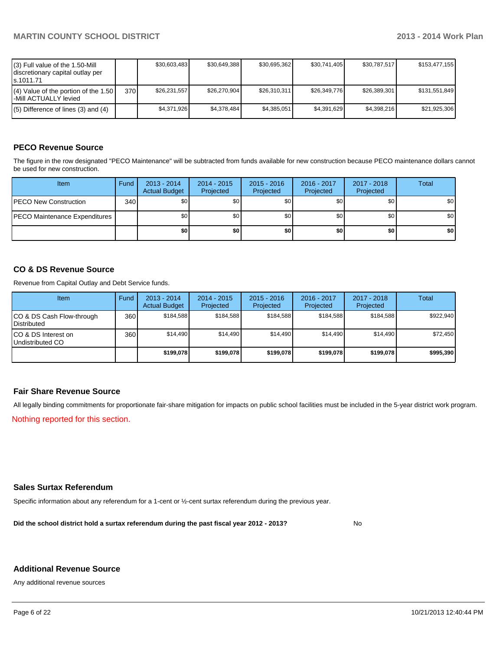| (3) Full value of the 1.50-Mill<br>discretionary capital outlay per<br>ls.1011.71 |       | \$30,603,483 | \$30,649,388 | \$30,695,362 | \$30,741,405 | \$30,787,517 | \$153,477,155 |
|-----------------------------------------------------------------------------------|-------|--------------|--------------|--------------|--------------|--------------|---------------|
| $(4)$ Value of the portion of the 1.50<br>-Mill ACTUALLY levied                   | 370 I | \$26.231.557 | \$26,270,904 | \$26,310,311 | \$26.349.776 | \$26,389,301 | \$131,551,849 |
| $(5)$ Difference of lines (3) and (4)                                             |       | \$4,371,926  | \$4,378,484  | \$4,385,051  | \$4,391,629  | \$4.398.216  | \$21,925,306  |

## **PECO Revenue Source**

The figure in the row designated "PECO Maintenance" will be subtracted from funds available for new construction because PECO maintenance dollars cannot be used for new construction.

| <b>Item</b>                          | Fund | $2013 - 2014$<br><b>Actual Budget</b> | $2014 - 2015$<br>Projected | $2015 - 2016$<br>Projected | 2016 - 2017<br>Projected | 2017 - 2018<br>Projected | Total            |
|--------------------------------------|------|---------------------------------------|----------------------------|----------------------------|--------------------------|--------------------------|------------------|
| <b>IPECO New Construction</b>        | 340  | \$0                                   | \$0                        | \$0                        | \$0                      | \$0                      | \$0 <sub>1</sub> |
| <b>PECO Maintenance Expenditures</b> |      | \$0                                   | \$0                        | \$0                        | \$0                      | \$0                      | \$0 <sub>1</sub> |
|                                      |      | \$0                                   | \$0                        | \$0                        | \$0                      | \$0                      | \$0              |

#### **CO & DS Revenue Source**

Revenue from Capital Outlay and Debt Service funds.

| <b>Item</b>                                        | Fund | $2013 - 2014$<br><b>Actual Budget</b> | 2014 - 2015<br>Projected | $2015 - 2016$<br>Projected | $2016 - 2017$<br>Projected | $2017 - 2018$<br>Projected | Total     |
|----------------------------------------------------|------|---------------------------------------|--------------------------|----------------------------|----------------------------|----------------------------|-----------|
| ICO & DS Cash Flow-through<br><b>I</b> Distributed | 360  | \$184.588                             | \$184,588                | \$184.588                  | \$184.588                  | \$184.588                  | \$922,940 |
| ICO & DS Interest on<br>Undistributed CO           | 360  | \$14,490                              | \$14.490                 | \$14.490                   | \$14.490                   | \$14,490                   | \$72.450  |
|                                                    |      | \$199.078                             | \$199.078                | \$199.078                  | \$199.078                  | \$199,078                  | \$995,390 |

#### **Fair Share Revenue Source**

All legally binding commitments for proportionate fair-share mitigation for impacts on public school facilities must be included in the 5-year district work program.

Nothing reported for this section.

#### **Sales Surtax Referendum**

Specific information about any referendum for a 1-cent or ½-cent surtax referendum during the previous year.

**Did the school district hold a surtax referendum during the past fiscal year 2012 - 2013?**

No

#### **Additional Revenue Source**

Any additional revenue sources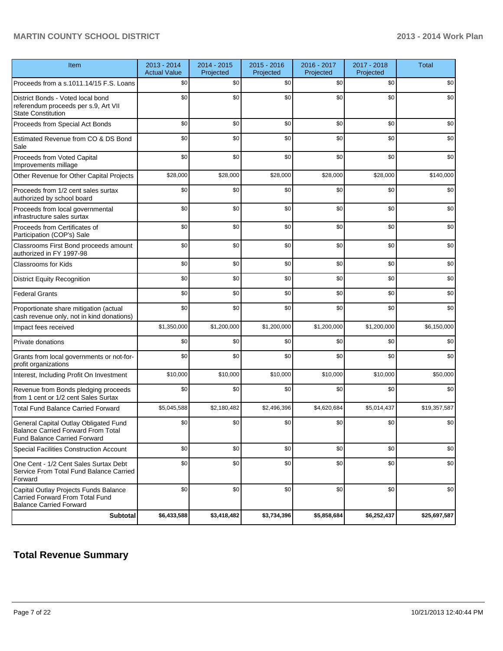| Item                                                                                                               | 2013 - 2014<br><b>Actual Value</b> | 2014 - 2015<br>Projected | 2015 - 2016<br>Projected | 2016 - 2017<br>Projected | 2017 - 2018<br>Projected | <b>Total</b> |
|--------------------------------------------------------------------------------------------------------------------|------------------------------------|--------------------------|--------------------------|--------------------------|--------------------------|--------------|
| Proceeds from a s.1011.14/15 F.S. Loans                                                                            | \$0                                | \$0                      | \$0                      | \$0                      | \$0                      | \$0          |
| District Bonds - Voted local bond<br>referendum proceeds per s.9, Art VII<br><b>State Constitution</b>             | \$0                                | \$0                      | \$0                      | \$0                      | \$0                      | \$0          |
| Proceeds from Special Act Bonds                                                                                    | \$0                                | \$0                      | \$0                      | \$0                      | \$0                      | \$0          |
| Estimated Revenue from CO & DS Bond<br>Sale                                                                        | \$0                                | \$0                      | \$0                      | \$0                      | \$0                      | \$0          |
| Proceeds from Voted Capital<br>Improvements millage                                                                | \$0                                | \$0                      | \$0                      | \$0                      | \$0                      | \$0          |
| Other Revenue for Other Capital Projects                                                                           | \$28,000                           | \$28,000                 | \$28,000                 | \$28,000                 | \$28,000                 | \$140,000    |
| Proceeds from 1/2 cent sales surtax<br>authorized by school board                                                  | \$0                                | \$0                      | \$0                      | \$0                      | \$0                      | \$0          |
| Proceeds from local governmental<br>infrastructure sales surtax                                                    | \$0                                | \$0                      | \$0                      | \$0                      | \$0                      | \$0          |
| Proceeds from Certificates of<br>Participation (COP's) Sale                                                        | \$0                                | \$0                      | \$0                      | \$0                      | \$0                      | \$0          |
| Classrooms First Bond proceeds amount<br>authorized in FY 1997-98                                                  | \$0                                | \$0                      | \$0                      | \$0                      | \$0                      | \$0          |
| <b>Classrooms for Kids</b>                                                                                         | \$0                                | \$0                      | \$0                      | \$0                      | \$0                      | \$0          |
| <b>District Equity Recognition</b>                                                                                 | \$0                                | \$0                      | \$0                      | \$0                      | \$0                      | \$0          |
| <b>Federal Grants</b>                                                                                              | \$0                                | \$0                      | \$0                      | \$0                      | \$0                      | \$0          |
| Proportionate share mitigation (actual<br>cash revenue only, not in kind donations)                                | \$0                                | \$0                      | \$0                      | \$0                      | \$0                      | \$0          |
| Impact fees received                                                                                               | \$1,350,000                        | \$1,200,000              | \$1,200,000              | \$1,200,000              | \$1,200,000              | \$6,150,000  |
| Private donations                                                                                                  | \$0                                | \$0                      | \$0                      | \$0                      | \$0                      | \$0          |
| Grants from local governments or not-for-<br>profit organizations                                                  | \$0                                | \$0                      | \$0                      | \$0                      | \$0                      | \$0          |
| Interest, Including Profit On Investment                                                                           | \$10,000                           | \$10,000                 | \$10,000                 | \$10,000                 | \$10,000                 | \$50,000     |
| Revenue from Bonds pledging proceeds<br>from 1 cent or 1/2 cent Sales Surtax                                       | \$0                                | \$0                      | \$0                      | \$0                      | \$0                      | \$0          |
| <b>Total Fund Balance Carried Forward</b>                                                                          | \$5,045,588                        | \$2,180,482              | \$2,496,396              | \$4,620,684              | \$5,014,437              | \$19,357,587 |
| General Capital Outlay Obligated Fund<br><b>Balance Carried Forward From Total</b><br>Fund Balance Carried Forward | \$0                                | \$0                      | \$0                      | \$0                      | \$0                      | \$0          |
| Special Facilities Construction Account                                                                            | \$0                                | \$0                      | \$0                      | \$0                      | \$0                      | \$0          |
| One Cent - 1/2 Cent Sales Surtax Debt<br>Service From Total Fund Balance Carried<br>Forward                        | \$0                                | \$0                      | \$0                      | \$0                      | \$0                      | \$0          |
| Capital Outlay Projects Funds Balance<br>Carried Forward From Total Fund<br><b>Balance Carried Forward</b>         | \$0                                | \$0                      | \$0                      | \$0                      | \$0                      | \$0          |
| <b>Subtotal</b>                                                                                                    | \$6,433,588                        | \$3,418,482              | \$3,734,396              | \$5,858,684              | \$6,252,437              | \$25,697,587 |

# **Total Revenue Summary**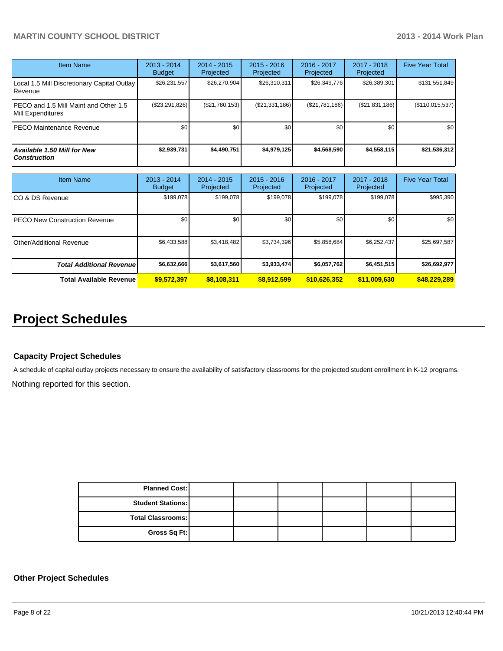| Item Name                                                  | $2013 - 2014$<br><b>Budget</b> | $2014 - 2015$<br>Projected | $2015 - 2016$<br>Projected | $2016 - 2017$<br>Projected | $2017 - 2018$<br>Projected | <b>Five Year Total</b> |
|------------------------------------------------------------|--------------------------------|----------------------------|----------------------------|----------------------------|----------------------------|------------------------|
| Local 1.5 Mill Discretionary Capital Outlay<br>Revenue     | \$26,231,557                   | \$26,270,904               | \$26,310,311               | \$26,349,776               | \$26,389,301               | \$131,551,849          |
| PECO and 1.5 Mill Maint and Other 1.5<br>Mill Expenditures | (\$23,291,826)                 | (S21,780,153)              | (S21, 331, 186)            | $(\$21,781,186)$           | (S21, 831, 186)            | (\$110,015,537)        |
| <b>PECO Maintenance Revenue</b>                            | \$0                            | \$0                        | \$0                        | \$0                        | \$0                        | \$0                    |
| Available 1.50 Mill for New<br><b>Construction</b>         | \$2,939,731                    | \$4,490,751                | \$4,979,125                | \$4,568,590                | \$4,558,115                | \$21,536,312           |

| Item Name                        | $2013 - 2014$<br><b>Budget</b> | $2014 - 2015$<br>Projected | $2015 - 2016$<br>Projected | $2016 - 2017$<br>Projected | $2017 - 2018$<br>Projected | <b>Five Year Total</b> |
|----------------------------------|--------------------------------|----------------------------|----------------------------|----------------------------|----------------------------|------------------------|
| ICO & DS Revenue                 | \$199,078                      | \$199,078                  | \$199.078                  | \$199,078                  | \$199,078                  | \$995,390              |
| IPECO New Construction Revenue   | \$0                            | \$0                        | \$0                        | \$0                        | \$0                        | \$0 <sub>1</sub>       |
| IOther/Additional Revenue        | \$6,433,588                    | \$3,418,482                | \$3,734,396                | \$5,858,684                | \$6,252,437                | \$25,697,587           |
| <b>Total Additional Revenuel</b> | \$6,632,666                    | \$3,617,560                | \$3,933,474                | \$6,057,762                | \$6,451,515                | \$26,692,977           |
| <b>Total Available Revenue</b>   | \$9,572,397                    | \$8,108,311                | \$8,912,599                | \$10,626,352               | \$11,009,630               | \$48,229,289           |

# **Project Schedules**

#### **Capacity Project Schedules**

A schedule of capital outlay projects necessary to ensure the availability of satisfactory classrooms for the projected student enrollment in K-12 programs.

Nothing reported for this section.

| <b>Planned Cost:</b>     |  |  |  |
|--------------------------|--|--|--|
| <b>Student Stations:</b> |  |  |  |
| <b>Total Classrooms:</b> |  |  |  |
| Gross Sq Ft:             |  |  |  |

## **Other Project Schedules**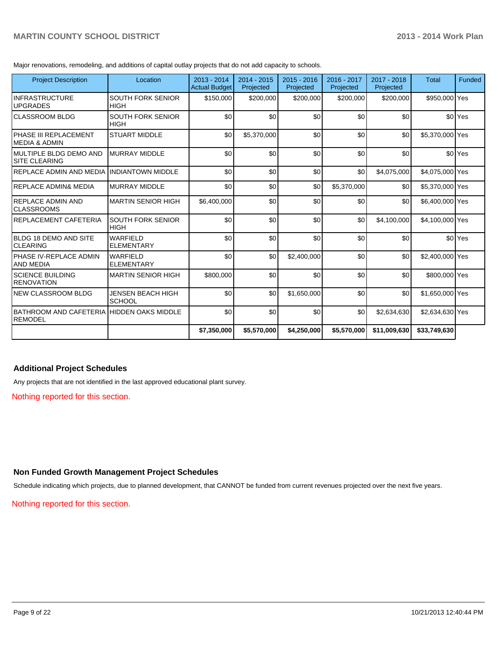Major renovations, remodeling, and additions of capital outlay projects that do not add capacity to schools.

| <b>Project Description</b>                                  | Location                                | $2013 - 2014$<br><b>Actual Budget</b> | $2014 - 2015$<br>Projected | $2015 - 2016$<br>Projected | 2016 - 2017<br>Projected | 2017 - 2018<br>Projected | Total           | Funded               |
|-------------------------------------------------------------|-----------------------------------------|---------------------------------------|----------------------------|----------------------------|--------------------------|--------------------------|-----------------|----------------------|
| <b>INFRASTRUCTURE</b><br><b>UPGRADES</b>                    | SOUTH FORK SENIOR<br><b>HIGH</b>        | \$150,000                             | \$200,000                  | \$200,000                  | \$200,000                | \$200,000                | \$950,000 Yes   |                      |
| <b>CLASSROOM BLDG</b>                                       | <b>SOUTH FORK SENIOR</b><br><b>HIGH</b> | \$0                                   | \$0                        | \$0                        | \$0                      | \$0                      |                 | \$0 <sup>Yes</sup>   |
| PHASE III REPLACEMENT<br>IMEDIA & ADMIN                     | <b>STUART MIDDLE</b>                    | \$0                                   | \$5,370,000                | \$0                        | \$0                      | \$0                      | \$5,370,000 Yes |                      |
| IMULTIPLE BLDG DEMO AND<br>ISITE CLEARING                   | <b>MURRAY MIDDLE</b>                    | \$0                                   | \$0                        | \$0                        | \$0                      | \$0                      |                 | \$0 <sup>l</sup> Yes |
| REPLACE ADMIN AND MEDIA                                     | <b>INDIANTOWN MIDDLE</b>                | \$0                                   | \$0                        | \$0                        | \$0                      | \$4,075,000              | \$4,075,000 Yes |                      |
| <b>REPLACE ADMIN&amp; MEDIA</b>                             | <b>MURRAY MIDDLE</b>                    | \$0                                   | \$0                        | \$0                        | \$5,370,000              | \$0                      | \$5,370,000 Yes |                      |
| <b>IREPLACE ADMIN AND</b><br>ICLASSROOMS                    | <b>MARTIN SENIOR HIGH</b>               | \$6,400,000                           | \$0                        | \$0                        | \$0                      | \$0                      | \$6,400,000 Yes |                      |
| IREPLACEMENT CAFETERIA                                      | <b>SOUTH FORK SENIOR</b><br><b>HIGH</b> | \$0                                   | \$0                        | \$0                        | \$0                      | \$4,100,000              | \$4,100,000 Yes |                      |
| <b>BLDG 18 DEMO AND SITE</b><br>ICLEARING                   | <b>WARFIELD</b><br><b>ELEMENTARY</b>    | \$0                                   | \$0                        | \$0                        | \$0                      | \$0                      |                 | \$0 <sup>l</sup> Yes |
| IPHASE IV-REPLACE ADMIN<br><b>AND MEDIA</b>                 | <b>WARFIELD</b><br><b>ELEMENTARY</b>    | \$0                                   | \$0                        | \$2,400,000                | \$0                      | \$0                      | \$2,400,000 Yes |                      |
| <b>ISCIENCE BUILDING</b><br><b>RENOVATION</b>               | <b>MARTIN SENIOR HIGH</b>               | \$800,000                             | \$0                        | \$0                        | \$0                      | \$0                      | \$800,000 Yes   |                      |
| <b>NEW CLASSROOM BLDG</b>                                   | JENSEN BEACH HIGH<br><b>SCHOOL</b>      | \$0                                   | \$0                        | \$1,650,000                | \$0                      | \$0                      | \$1,650,000 Yes |                      |
| BATHROOM AND CAFETERIA HIDDEN OAKS MIDDLE<br><b>REMODEL</b> |                                         | \$0                                   | \$0                        | \$0                        | \$0                      | \$2,634,630              | \$2,634,630 Yes |                      |
|                                                             |                                         | \$7,350,000                           | \$5,570,000                | \$4,250,000                | \$5,570,000              | \$11,009,630             | \$33,749,630    |                      |

#### **Additional Project Schedules**

Any projects that are not identified in the last approved educational plant survey.

Nothing reported for this section.

## **Non Funded Growth Management Project Schedules**

Schedule indicating which projects, due to planned development, that CANNOT be funded from current revenues projected over the next five years.

Nothing reported for this section.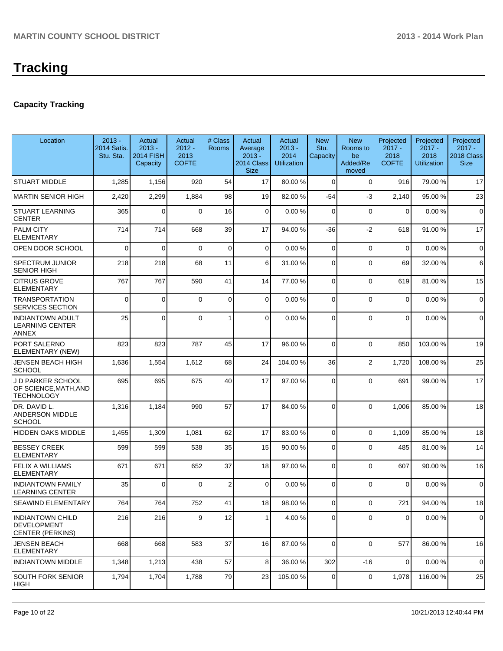# **Capacity Tracking**

| Location                                                           | $2013 -$<br>2014 Satis.<br>Stu. Sta. | Actual<br>$2013 -$<br><b>2014 FISH</b><br>Capacity | Actual<br>$2012 -$<br>2013<br><b>COFTE</b> | # Class<br>Rooms | Actual<br>Average<br>$2013 -$<br>2014 Class<br><b>Size</b> | Actual<br>$2013 -$<br>2014<br><b>Utilization</b> | <b>New</b><br>Stu.<br>Capacity | <b>New</b><br>Rooms to<br>be<br>Added/Re<br>moved | Projected<br>$2017 -$<br>2018<br><b>COFTE</b> | Projected<br>$2017 -$<br>2018<br><b>Utilization</b> | Projected<br>$2017 -$<br>2018 Class<br><b>Size</b> |
|--------------------------------------------------------------------|--------------------------------------|----------------------------------------------------|--------------------------------------------|------------------|------------------------------------------------------------|--------------------------------------------------|--------------------------------|---------------------------------------------------|-----------------------------------------------|-----------------------------------------------------|----------------------------------------------------|
| <b>STUART MIDDLE</b>                                               | 1,285                                | 1,156                                              | 920                                        | 54               | 17                                                         | 80.00 %                                          | $\mathbf 0$                    | $\Omega$                                          | 916                                           | 79.00 %                                             | 17                                                 |
| MARTIN SENIOR HIGH                                                 | 2,420                                | 2,299                                              | 1,884                                      | 98               | 19                                                         | 82.00 %                                          | $-54$                          | $-3$                                              | 2,140                                         | 95.00 %                                             | 23                                                 |
| <b>STUART LEARNING</b><br><b>CENTER</b>                            | 365                                  | $\mathbf{0}$                                       | $\Omega$                                   | 16               | 0                                                          | 0.00%                                            | 0                              | $\Omega$                                          | $\Omega$                                      | 0.00%                                               | $\mathbf 0$                                        |
| <b>PALM CITY</b><br><b>ELEMENTARY</b>                              | 714                                  | 714                                                | 668                                        | 39               | 17                                                         | 94.00 %                                          | $-36$                          | $-2$                                              | 618                                           | 91.00%                                              | 17                                                 |
| OPEN DOOR SCHOOL                                                   | $\Omega$                             | 0                                                  | $\Omega$                                   | 0                | 0                                                          | 0.00%                                            | 0                              | $\overline{0}$                                    | $\mathbf 0$                                   | 0.00%                                               | $\mathbf 0$                                        |
| SPECTRUM JUNIOR<br><b>SENIOR HIGH</b>                              | 218                                  | 218                                                | 68                                         | 11               | 6                                                          | 31.00 %                                          | 0                              | $\Omega$                                          | 69                                            | 32.00 %                                             | 6                                                  |
| <b>CITRUS GROVE</b><br><b>ELEMENTARY</b>                           | 767                                  | 767                                                | 590                                        | 41               | 14                                                         | 77.00 %                                          | 0                              | $\Omega$                                          | 619                                           | 81.00%                                              | 15                                                 |
| <b>TRANSPORTATION</b><br>SERVICES SECTION                          | $\Omega$                             | $\Omega$                                           | $\Omega$                                   | $\mathbf 0$      | 0                                                          | 0.00%                                            | 0                              | $\Omega$                                          | $\mathbf 0$                                   | 0.00%                                               | $\mathbf 0$                                        |
| <b>INDIANTOWN ADULT</b><br><b>LEARNING CENTER</b><br><b>ANNEX</b>  | 25                                   | $\Omega$                                           | $\Omega$                                   | 1                | 0                                                          | 0.00%                                            | $\Omega$                       | $\Omega$                                          | $\Omega$                                      | 0.00%                                               | $\mathbf 0$                                        |
| <b>PORT SALERNO</b><br>ELEMENTARY (NEW)                            | 823                                  | 823                                                | 787                                        | 45               | 17                                                         | 96.00 %                                          | $\mathbf 0$                    | $\Omega$                                          | 850                                           | 103.00%                                             | 19                                                 |
| JENSEN BEACH HIGH<br><b>SCHOOL</b>                                 | 1,636                                | 1,554                                              | 1,612                                      | 68               | 24                                                         | 104.00%                                          | 36                             | $\overline{2}$                                    | 1,720                                         | 108.00%                                             | 25                                                 |
| J D PARKER SCHOOL<br>OF SCIENCE, MATH, AND<br><b>TECHNOLOGY</b>    | 695                                  | 695                                                | 675                                        | 40               | 17                                                         | 97.00 %                                          | $\Omega$                       | $\Omega$                                          | 691                                           | 99.00 %                                             | 17                                                 |
| DR. DAVID L.<br>ANDERSON MIDDLE<br>SCHOOL                          | 1,316                                | 1,184                                              | 990                                        | 57               | 17                                                         | 84.00 %                                          | $\Omega$                       | $\Omega$                                          | 1,006                                         | 85.00 %                                             | 18                                                 |
| <b>HIDDEN OAKS MIDDLE</b>                                          | 1,455                                | 1,309                                              | 1,081                                      | 62               | 17                                                         | 83.00 %                                          | 0                              | $\Omega$                                          | 1,109                                         | 85.00 %                                             | 18                                                 |
| <b>BESSEY CREEK</b><br><b>ELEMENTARY</b>                           | 599                                  | 599                                                | 538                                        | 35               | 15                                                         | 90.00 %                                          | 0                              | $\Omega$                                          | 485                                           | 81.00%                                              | 14                                                 |
| <b>FELIX A WILLIAMS</b><br><b>ELEMENTARY</b>                       | 671                                  | 671                                                | 652                                        | 37               | 18                                                         | 97.00 %                                          | 0                              | $\Omega$                                          | 607                                           | 90.00%                                              | 16                                                 |
| <b>INDIANTOWN FAMILY</b><br><b>LEARNING CENTER</b>                 | 35                                   | $\Omega$                                           | $\Omega$                                   | $\boldsymbol{2}$ | 0                                                          | 0.00%                                            | $\Omega$                       | $\Omega$                                          | $\Omega$                                      | 0.00%                                               | $\mathbf 0$                                        |
| SEAWIND ELEMENTARY                                                 | 764                                  | 764                                                | 752                                        | 41               | 18                                                         | 98.00 %                                          | $\vert 0 \vert$                | $\overline{0}$                                    | 721                                           | 94.00 %                                             | 18                                                 |
| <b>INDIANTOWN CHILD</b><br><b>IDEVELOPMENT</b><br>CENTER (PERKINS) | 216                                  | 216                                                | 9 <sup>1</sup>                             | 12               | $\mathbf{1}$                                               | 4.00 %                                           | $\overline{0}$                 | $\Omega$                                          | $\overline{0}$                                | 0.00%                                               | $\mathbf 0$                                        |
| <b>JENSEN BEACH</b><br>ELEMENTARY                                  | 668                                  | 668                                                | 583                                        | 37               | 16                                                         | 87.00 %                                          | $\Omega$                       | $\Omega$                                          | 577                                           | 86.00%                                              | 16                                                 |
| <b>INDIANTOWN MIDDLE</b>                                           | 1,348                                | 1,213                                              | 438                                        | 57               | 8                                                          | 36.00 %                                          | 302                            | $-16$                                             | $\mathbf 0$                                   | 0.00%                                               | $\mathbf 0$                                        |
| SOUTH FORK SENIOR<br><b>HIGH</b>                                   | 1,794                                | 1,704                                              | 1,788                                      | 79               | 23                                                         | 105.00 %                                         | 0                              | $\overline{0}$                                    | 1,978                                         | 116.00%                                             | 25                                                 |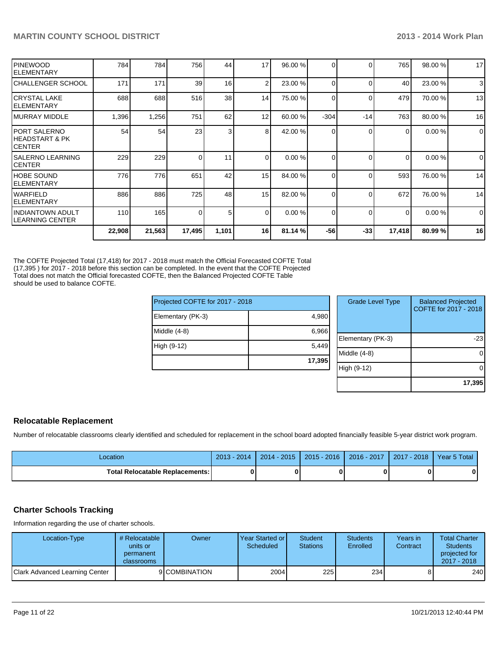|                                             | 22,908 | 21,563 | 17,495   | 1,101           | 16             | 81.14%  | $-56$    | $-33$    | 17,418   | 80.99%  | 16          |
|---------------------------------------------|--------|--------|----------|-----------------|----------------|---------|----------|----------|----------|---------|-------------|
| IINDIANTOWN ADULT<br>ILEARNING CENTER       | 110    | 165    | $\Omega$ | 5               | $\Omega$       | 0.00%   | $\Omega$ | $\Omega$ | $\Omega$ | 0.00%   | $\mathbf 0$ |
| <b>IWARFIELD</b><br>IELEMENTARY             | 886    | 886    | 725      | 48              | 15             | 82.00 % | $\Omega$ | $\Omega$ | 672      | 76.00 % | 14          |
| <b>HOBE SOUND</b><br>IELEMENTARY            | 776    | 776    | 651      | 42              | 15             | 84.00 % | $\Omega$ | $\Omega$ | 593      | 76.00 % | 14          |
| ISALERNO LEARNING<br>ICENTER                | 229    | 229    |          | 11              | $\Omega$       | 0.00%   | $\Omega$ | $\Omega$ | $\Omega$ | 0.00%   | $\mathbf 0$ |
| IPORT SALERNO<br>IHEADSTART & PK<br>ICENTER | 54     | 54     | 23       | 3               | 8 <sup>1</sup> | 42.00 % | $\Omega$ | ∩        | $\Omega$ | 0.00%   | $\mathbf 0$ |
| IMURRAY MIDDLE                              | 1,396  | 1,256  | 751      | 62              | 12             | 60.00 % | $-304$   | $-14$    | 763      | 80.00 % | 16          |
| ICRYSTAL LAKE<br>IELEMENTARY                | 688    | 688    | 516      | 38 <sup>1</sup> | 14             | 75.00 % | $\Omega$ | $\Omega$ | 479      | 70.00 % | 13          |
| CHALLENGER SCHOOL                           | 171    | 171    | 39       | 16              | 2 <sub>1</sub> | 23.00 % | $\Omega$ | $\Omega$ | 40       | 23.00 % | 3           |
| <b>IPINEWOOD</b><br>IELEMENTARY             | 784    | 784    | 756      | 44              | 17             | 96.00 % |          | $\Omega$ | 765      | 98.00 % | 17          |

The COFTE Projected Total (17,418) for 2017 - 2018 must match the Official Forecasted COFTE Total (17,395 ) for 2017 - 2018 before this section can be completed. In the event that the COFTE Projected Total does not match the Official forecasted COFTE, then the Balanced Projected COFTE Table should be used to balance COFTE.

| Projected COFTE for 2017 - 2018 |        | <b>Grade Level Type</b> | <b>Balanced Projected</b><br>COFTE for 2017 - 2018 |
|---------------------------------|--------|-------------------------|----------------------------------------------------|
| Elementary (PK-3)               | 4,980  |                         |                                                    |
| Middle (4-8)                    | 6,966  |                         |                                                    |
|                                 |        | Elementary (PK-3)       | $-23$                                              |
| High (9-12)                     | 5,449  |                         |                                                    |
|                                 |        | Middle (4-8)            | 0                                                  |
|                                 | 17,395 |                         |                                                    |
|                                 |        | High (9-12)             | 0                                                  |
|                                 |        |                         |                                                    |
|                                 |        |                         | 17,395                                             |

#### **Relocatable Replacement**

Number of relocatable classrooms clearly identified and scheduled for replacement in the school board adopted financially feasible 5-year district work program.

| Location                               | $2013 - 2014$ | $2014 - 2015$ | $2015 - 2016$ | 2016 - 2017 1 2017 - 2018 | Year 5 Total |
|----------------------------------------|---------------|---------------|---------------|---------------------------|--------------|
| <b>Total Relocatable Replacements:</b> |               |               |               |                           |              |

## **Charter Schools Tracking**

Information regarding the use of charter schools.

| Location-Type                  | # Relocatable  <br>units or<br>permanent<br><b>classrooms</b> | Owner         | Year Started or I<br>Scheduled | Student<br><b>Stations</b> | <b>Students</b><br>Enrolled | Years in<br>Contract | <b>Total Charter</b><br><b>Students</b><br>projected for<br>2017 - 2018 |
|--------------------------------|---------------------------------------------------------------|---------------|--------------------------------|----------------------------|-----------------------------|----------------------|-------------------------------------------------------------------------|
| Clark Advanced Learning Center |                                                               | 9 COMBINATION | 2004                           | 225                        | 234                         |                      | 240                                                                     |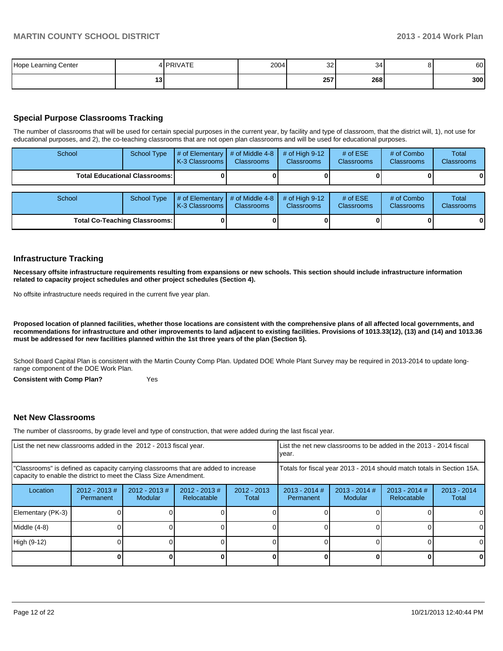| . Learning Center<br>Hope<br>$\cdot$ |   | <b>DDIVATE</b> | 2004 | 32<br>- - | $\sim$<br>-34 | $\Omega$ | 60  |
|--------------------------------------|---|----------------|------|-----------|---------------|----------|-----|
|                                      | w |                |      | 257       | 268           |          | 300 |

## **Special Purpose Classrooms Tracking**

The number of classrooms that will be used for certain special purposes in the current year, by facility and type of classroom, that the district will, 1), not use for educational purposes, and 2), the co-teaching classrooms that are not open plan classrooms and will be used for educational purposes.

| School | <b>School Type</b>                   | $#$ of Elementary<br>K-3 Classrooms | # of Middle 4-8<br><b>Classrooms</b> | # of High $9-12$<br><b>Classrooms</b> | # of $ESE$<br>Classrooms | # of Combo<br><b>Classrooms</b> | Total<br><b>Classrooms</b> |
|--------|--------------------------------------|-------------------------------------|--------------------------------------|---------------------------------------|--------------------------|---------------------------------|----------------------------|
|        | <b>Total Educational Classrooms:</b> |                                     |                                      |                                       |                          |                                 | 01                         |
| School | <b>School Type</b>                   | # of Elementary<br>K-3 Classrooms   | # of Middle 4-8<br><b>Classrooms</b> | # of High $9-12$<br><b>Classrooms</b> | # of $ESE$<br>Classrooms | # of Combo<br><b>Classrooms</b> | Total<br><b>Classrooms</b> |
|        | <b>Total Co-Teaching Classrooms:</b> |                                     |                                      |                                       |                          |                                 | 0                          |

#### **Infrastructure Tracking**

**Necessary offsite infrastructure requirements resulting from expansions or new schools. This section should include infrastructure information related to capacity project schedules and other project schedules (Section 4).**

No offsite infrastructure needs required in the current five year plan.

**Proposed location of planned facilities, whether those locations are consistent with the comprehensive plans of all affected local governments, and recommendations for infrastructure and other improvements to land adjacent to existing facilities. Provisions of 1013.33(12), (13) and (14) and 1013.36 must be addressed for new facilities planned within the 1st three years of the plan (Section 5).**

School Board Capital Plan is consistent with the Martin County Comp Plan. Updated DOE Whole Plant Survey may be required in 2013-2014 to update longrange component of the DOE Work Plan.

**Consistent with Comp Plan?** Yes

#### **Net New Classrooms**

The number of classrooms, by grade level and type of construction, that were added during the last fiscal year.

| List the net new classrooms added in the 2012 - 2013 fiscal year.                                                                                       |                               |                            |                                 | vear.                  |                                                                        | List the net new classrooms to be added in the 2013 - 2014 fiscal |                                |                        |
|---------------------------------------------------------------------------------------------------------------------------------------------------------|-------------------------------|----------------------------|---------------------------------|------------------------|------------------------------------------------------------------------|-------------------------------------------------------------------|--------------------------------|------------------------|
| "Classrooms" is defined as capacity carrying classrooms that are added to increase<br>capacity to enable the district to meet the Class Size Amendment. |                               |                            |                                 |                        | Totals for fiscal year 2013 - 2014 should match totals in Section 15A. |                                                                   |                                |                        |
| Location                                                                                                                                                | $2012 - 2013 \#$<br>Permanent | $2012 - 2013$ #<br>Modular | $2012 - 2013 \#$<br>Relocatable | $2012 - 2013$<br>Total | $2013 - 2014$ #<br>Permanent                                           | $2013 - 2014$ #<br>Modular                                        | $2013 - 2014$ #<br>Relocatable | $2013 - 2014$<br>Total |
| Elementary (PK-3)                                                                                                                                       |                               |                            |                                 |                        |                                                                        |                                                                   |                                |                        |
| Middle (4-8)                                                                                                                                            |                               |                            |                                 |                        |                                                                        |                                                                   |                                | 01                     |
| High (9-12)                                                                                                                                             |                               |                            |                                 |                        |                                                                        |                                                                   |                                |                        |
|                                                                                                                                                         |                               |                            |                                 |                        |                                                                        |                                                                   |                                |                        |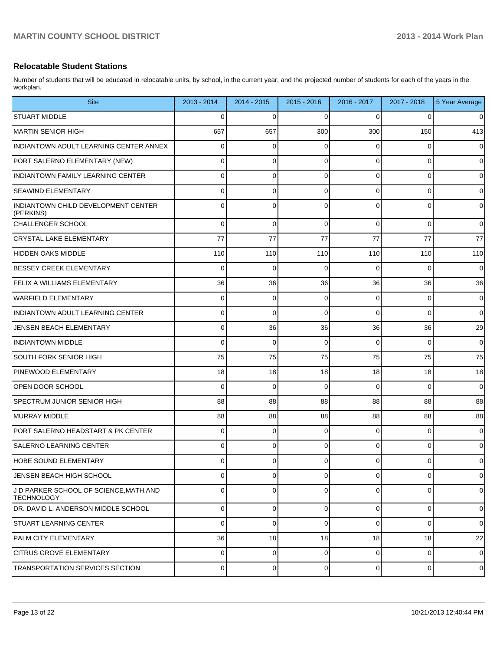#### **Relocatable Student Stations**

Number of students that will be educated in relocatable units, by school, in the current year, and the projected number of students for each of the years in the workplan.

| <b>Site</b>                                                  | 2013 - 2014 | 2014 - 2015    | 2015 - 2016 | 2016 - 2017    | 2017 - 2018    | 5 Year Average |
|--------------------------------------------------------------|-------------|----------------|-------------|----------------|----------------|----------------|
| <b>STUART MIDDLE</b>                                         | 0           | 0              | ∩           | 0              | 0              | $\mathbf 0$    |
| MARTIN SENIOR HIGH                                           | 657         | 657            | 300         | 300            | 150            | 413            |
| INDIANTOWN ADULT LEARNING CENTER ANNEX                       | 0           | 0              | ∩           | 0              | 0              | $\mathbf 0$    |
| PORT SALERNO ELEMENTARY (NEW)                                | 0           | 0              | $\Omega$    | 0              | 0              | $\mathbf 0$    |
| INDIANTOWN FAMILY LEARNING CENTER                            | 0           | 0              | $\Omega$    | 0              | 0              | $\mathbf 0$    |
| <b>SEAWIND ELEMENTARY</b>                                    | 0           | 0              | $\Omega$    | 0              | 0              | $\mathbf 0$    |
| <b>INDIANTOWN CHILD DEVELOPMENT CENTER</b><br>(PERKINS)      | 0           | 0              | $\Omega$    | 0              | $\Omega$       | $\mathbf 0$    |
| CHALLENGER SCHOOL                                            | $\Omega$    | 0              | 0           | $\Omega$       | 0              | $\Omega$       |
| CRYSTAL LAKE ELEMENTARY                                      | 77          | 77             | 77          | 77             | 77             | 77             |
| HIDDEN OAKS MIDDLE                                           | 110         | 110            | 110         | 110            | 110            | 110            |
| <b>BESSEY CREEK ELEMENTARY</b>                               | $\Omega$    | 0              | $\Omega$    | 0              | 0              | $\Omega$       |
| FELIX A WILLIAMS ELEMENTARY                                  | 36          | 36             | 36          | 36             | 36             | 36             |
| WARFIELD ELEMENTARY                                          | 0           | 0              | $\Omega$    | 0              | 0              | $\mathbf 0$    |
| INDIANTOWN ADULT LEARNING CENTER                             | 0           | 0              | $\Omega$    | $\Omega$       | $\Omega$       | $\mathbf 0$    |
| JENSEN BEACH ELEMENTARY                                      | 0           | 36             | 36          | 36             | 36             | 29             |
| <b>INDIANTOWN MIDDLE</b>                                     | $\Omega$    | $\mathbf 0$    | $\Omega$    | $\Omega$       | 0              | $\mathbf 0$    |
| SOUTH FORK SENIOR HIGH                                       | 75          | 75             | 75          | 75             | 75             | 75             |
| <b>PINEWOOD ELEMENTARY</b>                                   | 18          | 18             | 18          | 18             | 18             | 18             |
| OPEN DOOR SCHOOL                                             | $\Omega$    | 0              | $\Omega$    | $\Omega$       | 0              | $\Omega$       |
| SPECTRUM JUNIOR SENIOR HIGH                                  | 88          | 88             | 88          | 88             | 88             | 88             |
| MURRAY MIDDLE                                                | 88          | 88             | 88          | 88             | 88             | 88             |
| PORT SALERNO HEADSTART & PK CENTER                           | 0           | 0              | $\Omega$    | 0              | 0              | $\mathbf 0$    |
| <b>SALERNO LEARNING CENTER</b>                               | 0           | $\Omega$       | $\Omega$    | $\Omega$       | 0              | $\mathbf 0$    |
| HOBE SOUND ELEMENTARY                                        | $\Omega$    | $\Omega$       | $\Omega$    | 0              | 0              | $\Omega$       |
| JENSEN BEACH HIGH SCHOOL                                     | $\Omega$    | 0              | $\Omega$    | 0              | 0              | $\mathbf 0$    |
| J D PARKER SCHOOL OF SCIENCE, MATH, AND<br><b>TECHNOLOGY</b> | 0           | 0              | $\Omega$    | $\Omega$       | $\Omega$       | $\mathbf 0$    |
| DR. DAVID L. ANDERSON MIDDLE SCHOOL                          | $\Omega$    | $\overline{0}$ | $\mathbf 0$ | $\overline{0}$ | $\overline{0}$ | $\mathbf 0$    |
| ISTUART LEARNING CENTER                                      | $\Omega$    | 0              | $\mathbf 0$ | $\overline{0}$ | 0              | $\Omega$       |
| <b>PALM CITY ELEMENTARY</b>                                  | 36          | 18             | 18          | 18             | 18             | 22             |
| <b>CITRUS GROVE ELEMENTARY</b>                               | $\Omega$    | $\overline{0}$ | $\mathbf 0$ | $\overline{0}$ | 0              | $\mathbf 0$    |
| TRANSPORTATION SERVICES SECTION                              | $\Omega$    | $\overline{0}$ | $\mathbf 0$ | $\overline{0}$ | 0              | $\mathbf 0$    |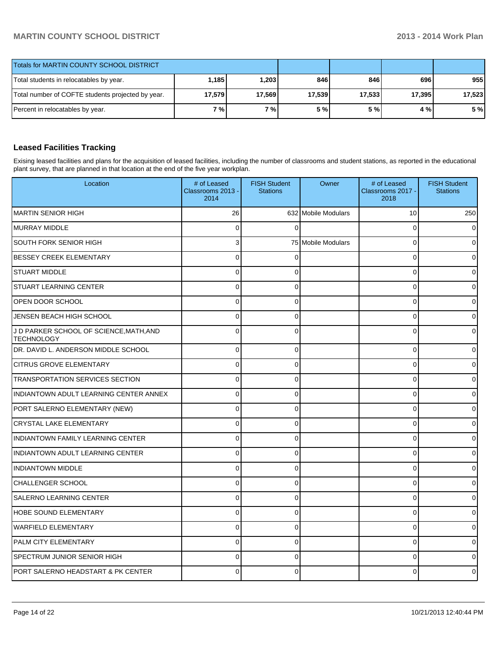| Totals for MARTIN COUNTY SCHOOL DISTRICT          |        |        |        |        |        |        |
|---------------------------------------------------|--------|--------|--------|--------|--------|--------|
| Total students in relocatables by year.           | 1,185  | 1,203  | 846    | 846 I  | 696 l  | 955    |
| Total number of COFTE students projected by year. | 17,579 | 17,569 | 17,539 | 17,533 | 17,395 | 17,523 |
| Percent in relocatables by year.                  | 7 % I  | 7 % I  | 5 %    | 5 % I  | 4 % I  | 5 %    |

# **Leased Facilities Tracking**

Exising leased facilities and plans for the acquisition of leased facilities, including the number of classrooms and student stations, as reported in the educational plant survey, that are planned in that location at the end of the five year workplan.

| Location                                                     | # of Leased<br>Classrooms 2013 -<br>2014 | <b>FISH Student</b><br><b>Stations</b> | Owner               | # of Leased<br>Classrooms 2017 -<br>2018 | <b>FISH Student</b><br><b>Stations</b> |
|--------------------------------------------------------------|------------------------------------------|----------------------------------------|---------------------|------------------------------------------|----------------------------------------|
| <b>MARTIN SENIOR HIGH</b>                                    | 26                                       |                                        | 632 Mobile Modulars | 10                                       | 250                                    |
| MURRAY MIDDLE                                                | $\Omega$                                 | $\Omega$                               |                     | $\Omega$                                 |                                        |
| SOUTH FORK SENIOR HIGH                                       | 3                                        |                                        | 75 Mobile Modulars  | $\Omega$                                 |                                        |
| <b>BESSEY CREEK ELEMENTARY</b>                               | $\overline{0}$                           | $\Omega$                               |                     | $\Omega$                                 |                                        |
| <b>STUART MIDDLE</b>                                         | $\overline{0}$                           | $\Omega$                               |                     | $\mathbf 0$                              |                                        |
| <b>STUART LEARNING CENTER</b>                                | $\overline{0}$                           | 0                                      |                     | $\mathbf 0$                              |                                        |
| OPEN DOOR SCHOOL                                             | $\overline{0}$                           | $\Omega$                               |                     | $\Omega$                                 |                                        |
| JENSEN BEACH HIGH SCHOOL                                     | $\overline{0}$                           | $\Omega$                               |                     | $\Omega$                                 |                                        |
| J D PARKER SCHOOL OF SCIENCE, MATH, AND<br><b>TECHNOLOGY</b> | $\overline{0}$                           | $\Omega$                               |                     | $\Omega$                                 |                                        |
| DR. DAVID L. ANDERSON MIDDLE SCHOOL                          | 0                                        | $\Omega$                               |                     | $\mathbf 0$                              |                                        |
| <b>CITRUS GROVE ELEMENTARY</b>                               | $\Omega$                                 | $\Omega$                               |                     | $\Omega$                                 |                                        |
| <b>TRANSPORTATION SERVICES SECTION</b>                       | $\Omega$                                 | $\Omega$                               |                     | $\Omega$                                 |                                        |
| INDIANTOWN ADULT LEARNING CENTER ANNEX                       | $\Omega$                                 | $\Omega$                               |                     | $\mathbf 0$                              |                                        |
| PORT SALERNO ELEMENTARY (NEW)                                | $\Omega$                                 | $\Omega$                               |                     | $\Omega$                                 |                                        |
| <b>CRYSTAL LAKE ELEMENTARY</b>                               | $\Omega$                                 | $\Omega$                               |                     | $\mathbf 0$                              |                                        |
| <b>INDIANTOWN FAMILY LEARNING CENTER</b>                     | $\Omega$                                 | $\Omega$                               |                     | $\Omega$                                 |                                        |
| INDIANTOWN ADULT LEARNING CENTER                             | $\Omega$                                 | 0                                      |                     | $\Omega$                                 |                                        |
| <b>INDIANTOWN MIDDLE</b>                                     | $\Omega$                                 | $\Omega$                               |                     | $\Omega$                                 |                                        |
| <b>CHALLENGER SCHOOL</b>                                     | $\Omega$                                 | $\Omega$                               |                     | $\Omega$                                 |                                        |
| <b>SALERNO LEARNING CENTER</b>                               | $\Omega$                                 | $\Omega$                               |                     | $\mathbf 0$                              |                                        |
| <b>HOBE SOUND ELEMENTARY</b>                                 | $\Omega$                                 | 0                                      |                     | $\mathbf 0$                              |                                        |
| <b>WARFIELD ELEMENTARY</b>                                   | $\Omega$                                 | $\Omega$                               |                     | $\Omega$                                 |                                        |
| <b>PALM CITY ELEMENTARY</b>                                  | $\Omega$                                 | $\Omega$                               |                     | $\mathbf 0$                              |                                        |
| <b>SPECTRUM JUNIOR SENIOR HIGH</b>                           | $\Omega$                                 | $\Omega$                               |                     | $\Omega$                                 |                                        |
| PORT SALERNO HEADSTART & PK CENTER                           |                                          | U                                      |                     | ŋ                                        |                                        |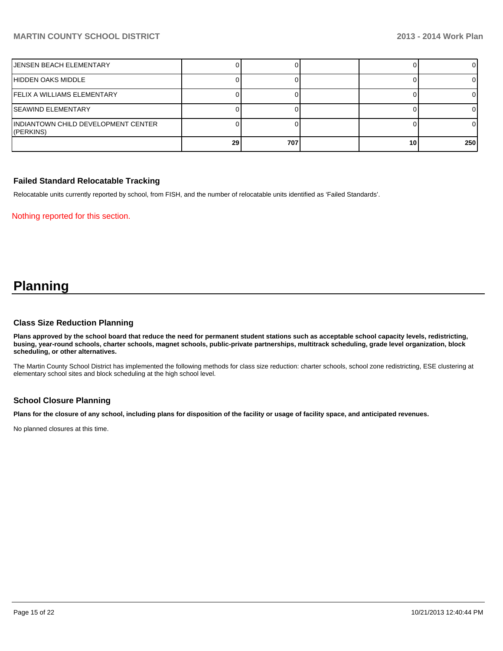| IJENSEN BEACH ELEMENTARY                          |                 |     |    |     |
|---------------------------------------------------|-----------------|-----|----|-----|
| HIDDEN OAKS MIDDLE                                |                 |     |    |     |
| IFELIX A WILLIAMS ELEMENTARY                      |                 |     |    |     |
| <b>SEAWIND ELEMENTARY</b>                         |                 |     |    |     |
| IINDIANTOWN CHILD DEVELOPMENT CENTER<br>(PERKINS) |                 |     |    |     |
|                                                   | 29 <sub>1</sub> | 707 | 10 | 250 |

#### **Failed Standard Relocatable Tracking**

Relocatable units currently reported by school, from FISH, and the number of relocatable units identified as 'Failed Standards'.

Nothing reported for this section.

# **Planning**

#### **Class Size Reduction Planning**

**Plans approved by the school board that reduce the need for permanent student stations such as acceptable school capacity levels, redistricting, busing, year-round schools, charter schools, magnet schools, public-private partnerships, multitrack scheduling, grade level organization, block scheduling, or other alternatives.**

The Martin County School District has implemented the following methods for class size reduction: charter schools, school zone redistricting, ESE clustering at elementary school sites and block scheduling at the high school level.

#### **School Closure Planning**

**Plans for the closure of any school, including plans for disposition of the facility or usage of facility space, and anticipated revenues.**

No planned closures at this time.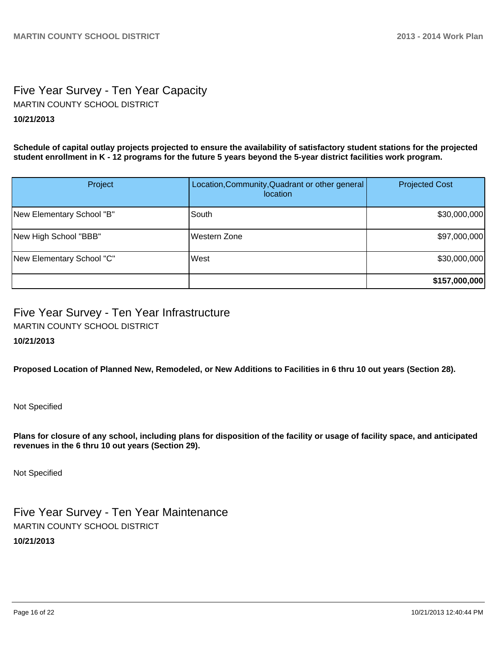# Five Year Survey - Ten Year Capacity **10/21/2013** MARTIN COUNTY SCHOOL DISTRICT

**Schedule of capital outlay projects projected to ensure the availability of satisfactory student stations for the projected student enrollment in K - 12 programs for the future 5 years beyond the 5-year district facilities work program.**

| Project                   | Location, Community, Quadrant or other general<br><i>location</i> | <b>Projected Cost</b> |
|---------------------------|-------------------------------------------------------------------|-----------------------|
| New Elementary School "B" | South                                                             | \$30,000,000          |
| New High School "BBB"     | Western Zone                                                      | \$97,000,000          |
| New Elementary School "C" | West                                                              | \$30,000,000          |
|                           |                                                                   | \$157,000,000         |

# Five Year Survey - Ten Year Infrastructure MARTIN COUNTY SCHOOL DISTRICT

## **10/21/2013**

**Proposed Location of Planned New, Remodeled, or New Additions to Facilities in 6 thru 10 out years (Section 28).**

Not Specified

**Plans for closure of any school, including plans for disposition of the facility or usage of facility space, and anticipated revenues in the 6 thru 10 out years (Section 29).**

Not Specified

Five Year Survey - Ten Year Maintenance **10/21/2013** MARTIN COUNTY SCHOOL DISTRICT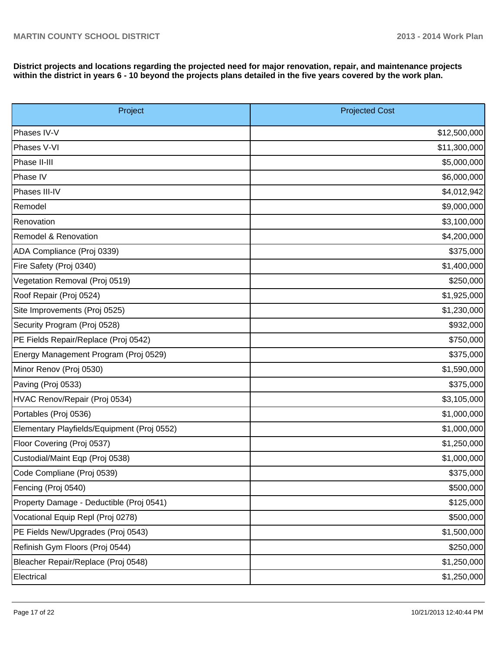**District projects and locations regarding the projected need for major renovation, repair, and maintenance projects within the district in years 6 - 10 beyond the projects plans detailed in the five years covered by the work plan.**

| Project                                     | <b>Projected Cost</b> |  |  |  |
|---------------------------------------------|-----------------------|--|--|--|
| Phases IV-V                                 | \$12,500,000          |  |  |  |
| Phases V-VI                                 | \$11,300,000          |  |  |  |
| Phase II-III                                | \$5,000,000           |  |  |  |
| Phase IV                                    | \$6,000,000           |  |  |  |
| Phases III-IV                               | \$4,012,942           |  |  |  |
| Remodel                                     | \$9,000,000           |  |  |  |
| Renovation                                  | \$3,100,000           |  |  |  |
| Remodel & Renovation                        | \$4,200,000           |  |  |  |
| ADA Compliance (Proj 0339)                  | \$375,000             |  |  |  |
| Fire Safety (Proj 0340)                     | \$1,400,000           |  |  |  |
| Vegetation Removal (Proj 0519)              | \$250,000             |  |  |  |
| Roof Repair (Proj 0524)                     | \$1,925,000           |  |  |  |
| Site Improvements (Proj 0525)               | \$1,230,000           |  |  |  |
| Security Program (Proj 0528)                | \$932,000             |  |  |  |
| PE Fields Repair/Replace (Proj 0542)        | \$750,000             |  |  |  |
| Energy Management Program (Proj 0529)       | \$375,000             |  |  |  |
| Minor Renov (Proj 0530)                     | \$1,590,000           |  |  |  |
| Paving (Proj 0533)                          | \$375,000             |  |  |  |
| HVAC Renov/Repair (Proj 0534)               | \$3,105,000           |  |  |  |
| Portables (Proj 0536)                       | \$1,000,000           |  |  |  |
| Elementary Playfields/Equipment (Proj 0552) | \$1,000,000           |  |  |  |
| Floor Covering (Proj 0537)                  | \$1,250,000           |  |  |  |
| Custodial/Maint Eqp (Proj 0538)             | \$1,000,000           |  |  |  |
| Code Compliane (Proj 0539)                  | \$375,000             |  |  |  |
| Fencing (Proj 0540)                         | \$500,000             |  |  |  |
| Property Damage - Deductible (Proj 0541)    | \$125,000             |  |  |  |
| Vocational Equip Repl (Proj 0278)           | \$500,000             |  |  |  |
| PE Fields New/Upgrades (Proj 0543)          | \$1,500,000           |  |  |  |
| Refinish Gym Floors (Proj 0544)             | \$250,000             |  |  |  |
| Bleacher Repair/Replace (Proj 0548)         | \$1,250,000           |  |  |  |
| Electrical                                  | \$1,250,000           |  |  |  |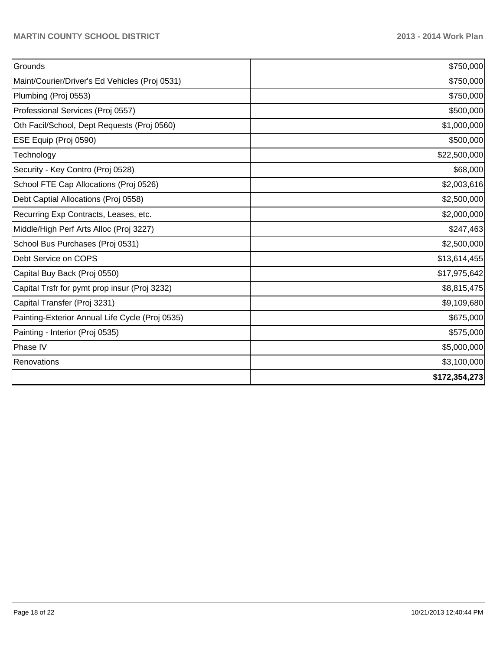| Grounds                                         | \$750,000     |
|-------------------------------------------------|---------------|
| Maint/Courier/Driver's Ed Vehicles (Proj 0531)  | \$750,000     |
| Plumbing (Proj 0553)                            | \$750,000     |
| Professional Services (Proj 0557)               | \$500,000     |
| Oth Facil/School, Dept Requests (Proj 0560)     | \$1,000,000   |
| ESE Equip (Proj 0590)                           | \$500,000     |
| Technology                                      | \$22,500,000  |
| Security - Key Contro (Proj 0528)               | \$68,000      |
| School FTE Cap Allocations (Proj 0526)          | \$2,003,616   |
| Debt Captial Allocations (Proj 0558)            | \$2,500,000   |
| Recurring Exp Contracts, Leases, etc.           | \$2,000,000   |
| Middle/High Perf Arts Alloc (Proj 3227)         | \$247,463     |
| School Bus Purchases (Proj 0531)                | \$2,500,000   |
| Debt Service on COPS                            | \$13,614,455  |
| Capital Buy Back (Proj 0550)                    | \$17,975,642  |
| Capital Trsfr for pymt prop insur (Proj 3232)   | \$8,815,475   |
| Capital Transfer (Proj 3231)                    | \$9,109,680   |
| Painting-Exterior Annual Life Cycle (Proj 0535) | \$675,000     |
| Painting - Interior (Proj 0535)                 | \$575,000     |
| Phase IV                                        | \$5,000,000   |
| Renovations                                     | \$3,100,000   |
|                                                 | \$172,354,273 |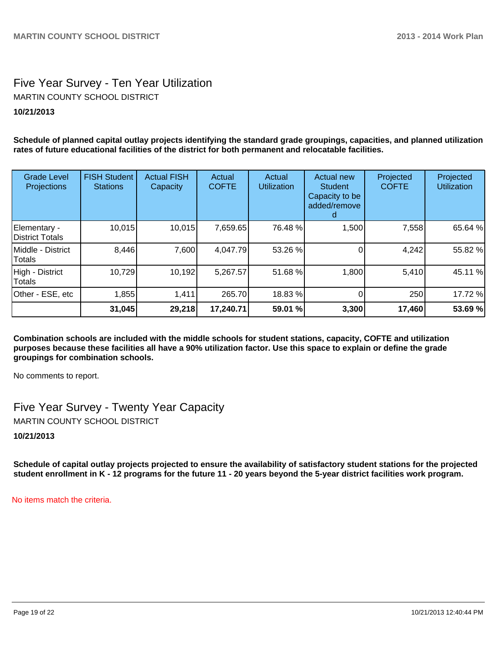# Five Year Survey - Ten Year Utilization **10/21/2013** MARTIN COUNTY SCHOOL DISTRICT

**Schedule of planned capital outlay projects identifying the standard grade groupings, capacities, and planned utilization rates of future educational facilities of the district for both permanent and relocatable facilities.**

| <b>Grade Level</b><br>Projections | <b>FISH Student</b><br><b>Stations</b> | <b>Actual FISH</b><br>Capacity | Actual<br><b>COFTE</b> | Actual<br><b>Utilization</b> | <b>Actual new</b><br><b>Student</b><br>Capacity to be<br>added/remove | Projected<br><b>COFTE</b> | Projected<br><b>Utilization</b> |
|-----------------------------------|----------------------------------------|--------------------------------|------------------------|------------------------------|-----------------------------------------------------------------------|---------------------------|---------------------------------|
| Elementary -<br>District Totals   | 10,015                                 | 10,015                         | 7,659.65               | 76.48 %                      | 1,500                                                                 | 7,558                     | 65.64 %                         |
| Middle - District<br>Totals       | 8,446                                  | 7,600                          | 4,047.79               | 53.26 %                      |                                                                       | 4,242                     | 55.82 %                         |
| High - District<br>Totals         | 10,729                                 | 10,192                         | 5,267.57               | 51.68 %                      | 1,800                                                                 | 5,410                     | 45.11 %                         |
| Other - ESE, etc                  | 1,855                                  | 1,411                          | 265.70                 | 18.83 %                      |                                                                       | 250                       | 17.72 %                         |
|                                   | 31,045                                 | 29,218                         | 17,240.71              | 59.01 %                      | 3,300                                                                 | 17,460                    | 53.69 %                         |

**Combination schools are included with the middle schools for student stations, capacity, COFTE and utilization purposes because these facilities all have a 90% utilization factor. Use this space to explain or define the grade groupings for combination schools.**

No comments to report.

Five Year Survey - Twenty Year Capacity MARTIN COUNTY SCHOOL DISTRICT

**10/21/2013**

**Schedule of capital outlay projects projected to ensure the availability of satisfactory student stations for the projected student enrollment in K - 12 programs for the future 11 - 20 years beyond the 5-year district facilities work program.**

No items match the criteria.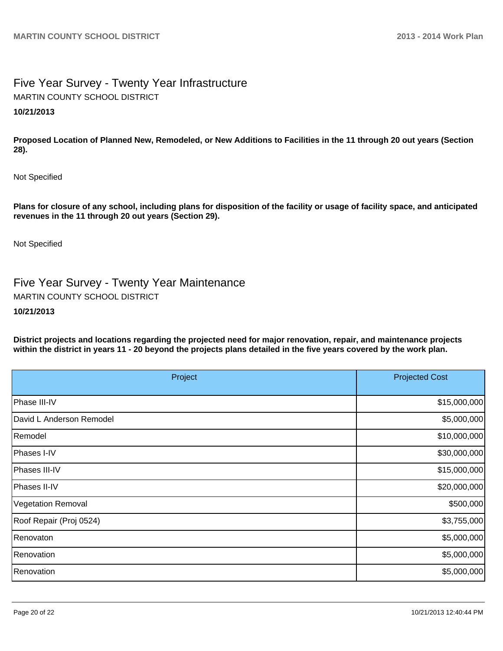# Five Year Survey - Twenty Year Infrastructure **10/21/2013** MARTIN COUNTY SCHOOL DISTRICT

**Proposed Location of Planned New, Remodeled, or New Additions to Facilities in the 11 through 20 out years (Section 28).**

Not Specified

**Plans for closure of any school, including plans for disposition of the facility or usage of facility space, and anticipated revenues in the 11 through 20 out years (Section 29).**

Not Specified

Five Year Survey - Twenty Year Maintenance MARTIN COUNTY SCHOOL DISTRICT

#### **10/21/2013**

**District projects and locations regarding the projected need for major renovation, repair, and maintenance projects within the district in years 11 - 20 beyond the projects plans detailed in the five years covered by the work plan.**

| Project                  | <b>Projected Cost</b> |
|--------------------------|-----------------------|
| Phase III-IV             | \$15,000,000          |
| David L Anderson Remodel | \$5,000,000           |
| Remodel                  | \$10,000,000          |
| Phases I-IV              | \$30,000,000          |
| Phases III-IV            | \$15,000,000          |
| Phases II-IV             | \$20,000,000          |
| Vegetation Removal       | \$500,000             |
| Roof Repair (Proj 0524)  | \$3,755,000           |
| Renovaton                | \$5,000,000           |
| Renovation               | \$5,000,000           |
| Renovation               | \$5,000,000           |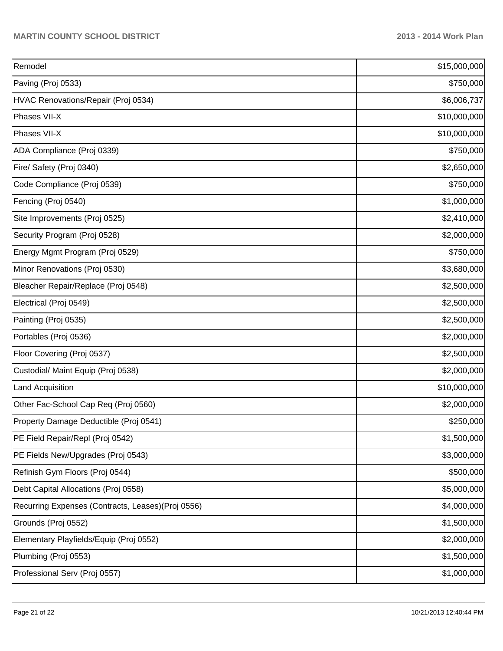| Remodel                                            | \$15,000,000 |
|----------------------------------------------------|--------------|
| Paving (Proj 0533)                                 | \$750,000    |
| HVAC Renovations/Repair (Proj 0534)                | \$6,006,737  |
| Phases VII-X                                       | \$10,000,000 |
| Phases VII-X                                       | \$10,000,000 |
| ADA Compliance (Proj 0339)                         | \$750,000    |
| Fire/ Safety (Proj 0340)                           | \$2,650,000  |
| Code Compliance (Proj 0539)                        | \$750,000    |
| Fencing (Proj 0540)                                | \$1,000,000  |
| Site Improvements (Proj 0525)                      | \$2,410,000  |
| Security Program (Proj 0528)                       | \$2,000,000  |
| Energy Mgmt Program (Proj 0529)                    | \$750,000    |
| Minor Renovations (Proj 0530)                      | \$3,680,000  |
| Bleacher Repair/Replace (Proj 0548)                | \$2,500,000  |
| Electrical (Proj 0549)                             | \$2,500,000  |
| Painting (Proj 0535)                               | \$2,500,000  |
| Portables (Proj 0536)                              | \$2,000,000  |
| Floor Covering (Proj 0537)                         | \$2,500,000  |
| Custodial/ Maint Equip (Proj 0538)                 | \$2,000,000  |
| Land Acquisition                                   | \$10,000,000 |
| Other Fac-School Cap Req (Proj 0560)               | \$2,000,000  |
| Property Damage Deductible (Proj 0541)             | \$250,000    |
| PE Field Repair/Repl (Proj 0542)                   | \$1,500,000  |
| PE Fields New/Upgrades (Proj 0543)                 | \$3,000,000  |
| Refinish Gym Floors (Proj 0544)                    | \$500,000    |
| Debt Capital Allocations (Proj 0558)               | \$5,000,000  |
| Recurring Expenses (Contracts, Leases) (Proj 0556) | \$4,000,000  |
| Grounds (Proj 0552)                                | \$1,500,000  |
| Elementary Playfields/Equip (Proj 0552)            | \$2,000,000  |
| Plumbing (Proj 0553)                               | \$1,500,000  |
| Professional Serv (Proj 0557)                      | \$1,000,000  |